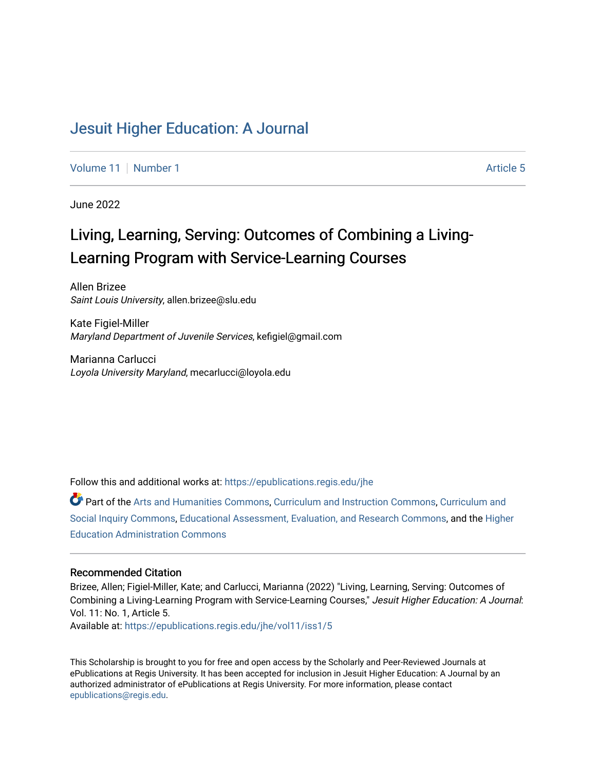# [Jesuit Higher Education: A Journal](https://epublications.regis.edu/jhe)

[Volume 11](https://epublications.regis.edu/jhe/vol11) | [Number 1](https://epublications.regis.edu/jhe/vol11/iss1) Article 5

June 2022

# Living, Learning, Serving: Outcomes of Combining a Living-Learning Program with Service-Learning Courses

Allen Brizee Saint Louis University, allen.brizee@slu.edu

Kate Figiel-Miller Maryland Department of Juvenile Services, kefigiel@gmail.com

Marianna Carlucci Loyola University Maryland, mecarlucci@loyola.edu

Follow this and additional works at: [https://epublications.regis.edu/jhe](https://epublications.regis.edu/jhe?utm_source=epublications.regis.edu%2Fjhe%2Fvol11%2Fiss1%2F5&utm_medium=PDF&utm_campaign=PDFCoverPages) 

Part of the [Arts and Humanities Commons,](https://network.bepress.com/hgg/discipline/438?utm_source=epublications.regis.edu%2Fjhe%2Fvol11%2Fiss1%2F5&utm_medium=PDF&utm_campaign=PDFCoverPages) [Curriculum and Instruction Commons,](https://network.bepress.com/hgg/discipline/786?utm_source=epublications.regis.edu%2Fjhe%2Fvol11%2Fiss1%2F5&utm_medium=PDF&utm_campaign=PDFCoverPages) Curriculum and [Social Inquiry Commons](https://network.bepress.com/hgg/discipline/1038?utm_source=epublications.regis.edu%2Fjhe%2Fvol11%2Fiss1%2F5&utm_medium=PDF&utm_campaign=PDFCoverPages), [Educational Assessment, Evaluation, and Research Commons,](https://network.bepress.com/hgg/discipline/796?utm_source=epublications.regis.edu%2Fjhe%2Fvol11%2Fiss1%2F5&utm_medium=PDF&utm_campaign=PDFCoverPages) and the [Higher](https://network.bepress.com/hgg/discipline/791?utm_source=epublications.regis.edu%2Fjhe%2Fvol11%2Fiss1%2F5&utm_medium=PDF&utm_campaign=PDFCoverPages) [Education Administration Commons](https://network.bepress.com/hgg/discipline/791?utm_source=epublications.regis.edu%2Fjhe%2Fvol11%2Fiss1%2F5&utm_medium=PDF&utm_campaign=PDFCoverPages) 

#### Recommended Citation

Brizee, Allen; Figiel-Miller, Kate; and Carlucci, Marianna (2022) "Living, Learning, Serving: Outcomes of Combining a Living-Learning Program with Service-Learning Courses," Jesuit Higher Education: A Journal: Vol. 11: No. 1, Article 5.

Available at: [https://epublications.regis.edu/jhe/vol11/iss1/5](https://epublications.regis.edu/jhe/vol11/iss1/5?utm_source=epublications.regis.edu%2Fjhe%2Fvol11%2Fiss1%2F5&utm_medium=PDF&utm_campaign=PDFCoverPages)

This Scholarship is brought to you for free and open access by the Scholarly and Peer-Reviewed Journals at ePublications at Regis University. It has been accepted for inclusion in Jesuit Higher Education: A Journal by an authorized administrator of ePublications at Regis University. For more information, please contact [epublications@regis.edu.](mailto:epublications@regis.edu)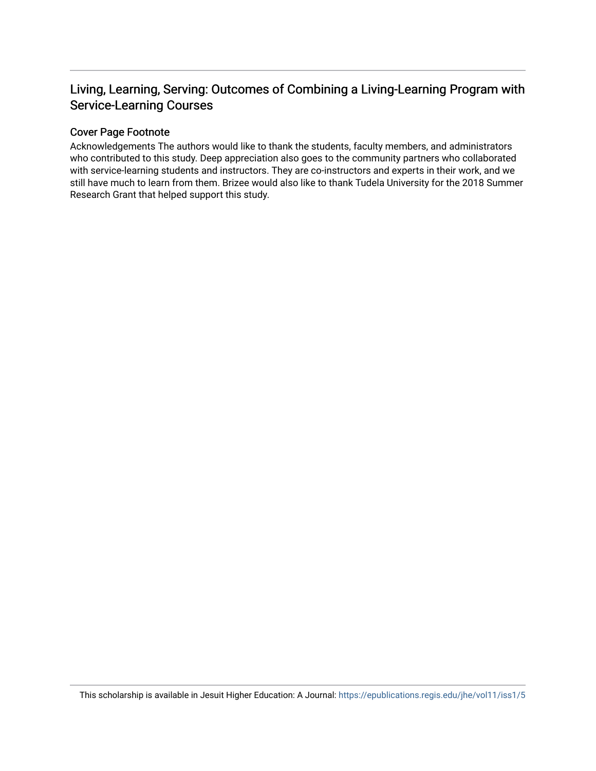# Living, Learning, Serving: Outcomes of Combining a Living-Learning Program with Service-Learning Courses

#### Cover Page Footnote

Acknowledgements The authors would like to thank the students, faculty members, and administrators who contributed to this study. Deep appreciation also goes to the community partners who collaborated with service-learning students and instructors. They are co-instructors and experts in their work, and we still have much to learn from them. Brizee would also like to thank Tudela University for the 2018 Summer Research Grant that helped support this study.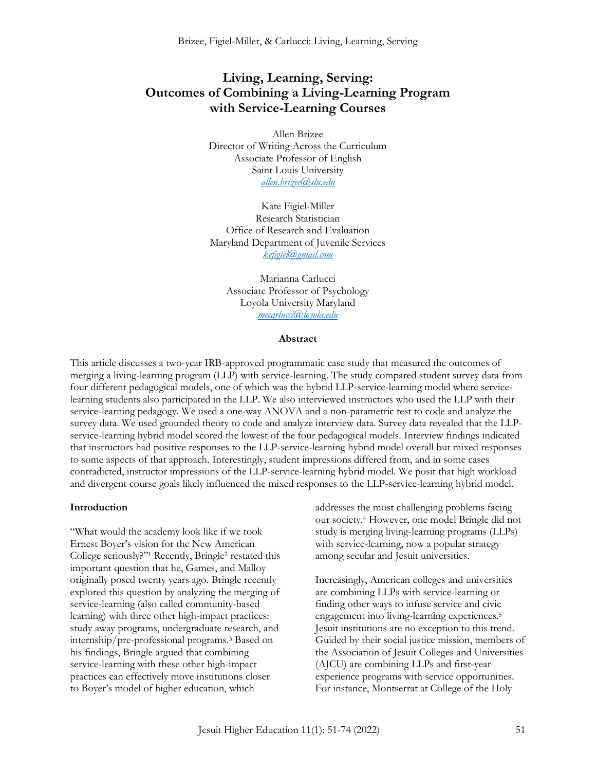# **Living, Learning, Serving: Outcomes of Combining a Living-Learning Program with Service-Learning Courses**

Allen Brizee Director of Writing Across the Curriculum Associate Professor of English Saint Louis University *[allen.brizee@slu.edu](mailto:allen.brizee@slu.edu)*

Kate Figiel-Miller Research Statistician Office of Research and Evaluation Maryland Department of Juvenile Services *[kefigiel@gmail.com](mailto:kefigiel@gmail.com)*

Marianna Carlucci Associate Professor of Psychology Loyola University Maryland *[mecarlucci@loyola.edu](mailto:mecarlucci@loyola.edu)*

#### **Abstract**

This article discusses a two-year IRB-approved programmatic case study that measured the outcomes of merging a living-learning program (LLP) with service-learning. The study compared student survey data from four different pedagogical models, one of which was the hybrid LLP-service-learning model where servicelearning students also participated in the LLP. We also interviewed instructors who used the LLP with their service-learning pedagogy. We used a one-way ANOVA and a non-parametric test to code and analyze the survey data. We used grounded theory to code and analyze interview data. Survey data revealed that the LLPservice-learning hybrid model scored the lowest of the four pedagogical models. Interview findings indicated that instructors had positive responses to the LLP-service-learning hybrid model overall but mixed responses to some aspects of that approach. Interestingly, student impressions differed from, and in some cases contradicted, instructor impressions of the LLP-service-learning hybrid model. We posit that high workload and divergent course goals likely influenced the mixed responses to the LLP-service-learning hybrid model.

#### **Introduction**

"What would the academy look like if we took Ernest Boyer's vision for the New American College seriously?"<sup>1</sup> Recently, Bringle<sup>2</sup> restated this important question that he, Games, and Malloy originally posed twenty years ago. Bringle recently explored this question by analyzing the merging of service-learning (also called community-based learning) with three other high-impact practices: study away programs, undergraduate research, and internship/pre-professional programs.<sup>3</sup> Based on his findings, Bringle argued that combining service-learning with these other high-impact practices can effectively move institutions closer to Boyer's model of higher education, which

addresses the most challenging problems facing our society.<sup>4</sup> However, one model Bringle did not study is merging living-learning programs (LLPs) with service-learning, now a popular strategy among secular and Jesuit universities.

Increasingly, American colleges and universities are combining LLPs with service-learning or finding other ways to infuse service and civic engagement into living-learning experiences.<sup>5</sup> Jesuit institutions are no exception to this trend. Guided by their social justice mission, members of the Association of Jesuit Colleges and Universities (AJCU) are combining LLPs and first-year experience programs with service opportunities. For instance, Montserrat at College of the Holy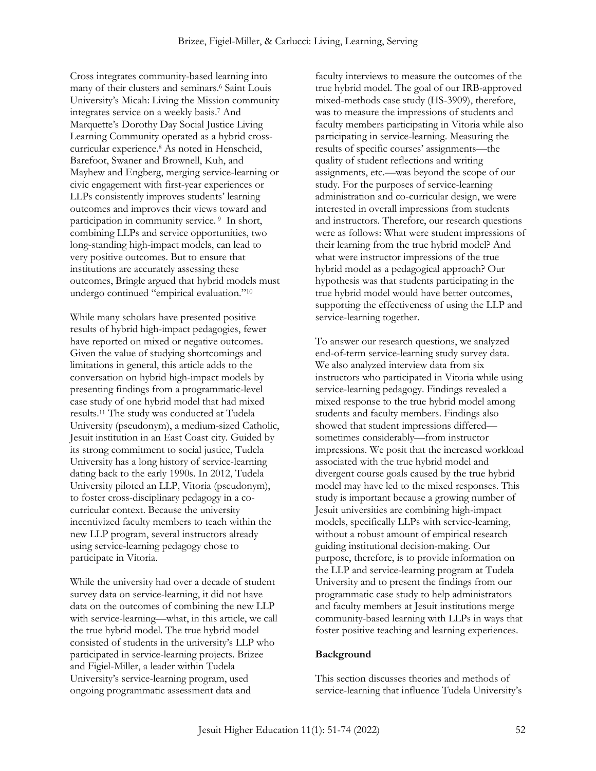Cross integrates community-based learning into many of their clusters and seminars.<sup>6</sup> Saint Louis University's Micah: Living the Mission community integrates service on a weekly basis.<sup>7</sup> And Marquette's Dorothy Day Social Justice Living Learning Community operated as a hybrid crosscurricular experience.<sup>8</sup> As noted in Henscheid, Barefoot, Swaner and Brownell, Kuh, and Mayhew and Engberg, merging service-learning or civic engagement with first-year experiences or LLPs consistently improves students' learning outcomes and improves their views toward and participation in community service. <sup>9</sup> In short, combining LLPs and service opportunities, two long-standing high-impact models, can lead to very positive outcomes. But to ensure that institutions are accurately assessing these outcomes, Bringle argued that hybrid models must undergo continued "empirical evaluation."<sup>10</sup>

While many scholars have presented positive results of hybrid high-impact pedagogies, fewer have reported on mixed or negative outcomes. Given the value of studying shortcomings and limitations in general, this article adds to the conversation on hybrid high-impact models by presenting findings from a programmatic-level case study of one hybrid model that had mixed results.<sup>11</sup> The study was conducted at Tudela University (pseudonym), a medium-sized Catholic, Jesuit institution in an East Coast city. Guided by its strong commitment to social justice, Tudela University has a long history of service-learning dating back to the early 1990s. In 2012, Tudela University piloted an LLP, Vitoria (pseudonym), to foster cross-disciplinary pedagogy in a cocurricular context. Because the university incentivized faculty members to teach within the new LLP program, several instructors already using service-learning pedagogy chose to participate in Vitoria.

While the university had over a decade of student survey data on service-learning, it did not have data on the outcomes of combining the new LLP with service-learning—what, in this article, we call the true hybrid model. The true hybrid model consisted of students in the university's LLP who participated in service-learning projects. Brizee and Figiel-Miller, a leader within Tudela University's service-learning program, used ongoing programmatic assessment data and

faculty interviews to measure the outcomes of the true hybrid model. The goal of our IRB-approved mixed-methods case study (HS-3909), therefore, was to measure the impressions of students and faculty members participating in Vitoria while also participating in service-learning. Measuring the results of specific courses' assignments—the quality of student reflections and writing assignments, etc.—was beyond the scope of our study. For the purposes of service-learning administration and co-curricular design, we were interested in overall impressions from students and instructors. Therefore, our research questions were as follows: What were student impressions of their learning from the true hybrid model? And what were instructor impressions of the true hybrid model as a pedagogical approach? Our hypothesis was that students participating in the true hybrid model would have better outcomes, supporting the effectiveness of using the LLP and service-learning together.

To answer our research questions, we analyzed end-of-term service-learning study survey data. We also analyzed interview data from six instructors who participated in Vitoria while using service-learning pedagogy. Findings revealed a mixed response to the true hybrid model among students and faculty members. Findings also showed that student impressions differed sometimes considerably—from instructor impressions. We posit that the increased workload associated with the true hybrid model and divergent course goals caused by the true hybrid model may have led to the mixed responses. This study is important because a growing number of Jesuit universities are combining high-impact models, specifically LLPs with service-learning, without a robust amount of empirical research guiding institutional decision-making. Our purpose, therefore, is to provide information on the LLP and service-learning program at Tudela University and to present the findings from our programmatic case study to help administrators and faculty members at Jesuit institutions merge community-based learning with LLPs in ways that foster positive teaching and learning experiences.

#### **Background**

This section discusses theories and methods of service-learning that influence Tudela University's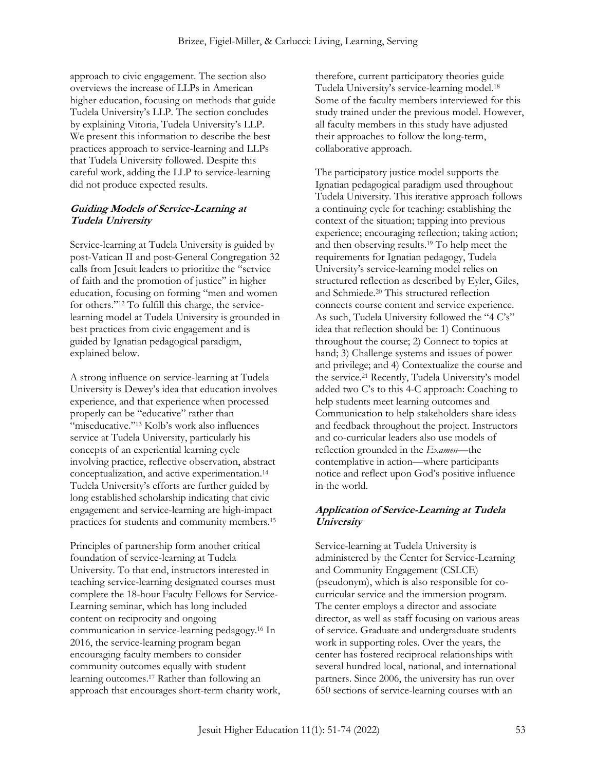approach to civic engagement. The section also overviews the increase of LLPs in American higher education, focusing on methods that guide Tudela University's LLP. The section concludes by explaining Vitoria, Tudela University's LLP. We present this information to describe the best practices approach to service-learning and LLPs that Tudela University followed. Despite this careful work, adding the LLP to service-learning did not produce expected results.

## **Guiding Models of Service-Learning at Tudela University**

Service-learning at Tudela University is guided by post-Vatican II and post-General Congregation 32 calls from Jesuit leaders to prioritize the "service of faith and the promotion of justice" in higher education, focusing on forming "men and women for others."<sup>12</sup> To fulfill this charge, the servicelearning model at Tudela University is grounded in best practices from civic engagement and is guided by Ignatian pedagogical paradigm, explained below.

A strong influence on service-learning at Tudela University is Dewey's idea that education involves experience, and that experience when processed properly can be "educative" rather than "miseducative."<sup>13</sup> Kolb's work also influences service at Tudela University, particularly his concepts of an experiential learning cycle involving practice, reflective observation, abstract conceptualization, and active experimentation.<sup>14</sup> Tudela University's efforts are further guided by long established scholarship indicating that civic engagement and service-learning are high-impact practices for students and community members.<sup>15</sup>

Principles of partnership form another critical foundation of service-learning at Tudela University. To that end, instructors interested in teaching service-learning designated courses must complete the 18-hour Faculty Fellows for Service-Learning seminar, which has long included content on reciprocity and ongoing communication in service-learning pedagogy.<sup>16</sup> In 2016, the service-learning program began encouraging faculty members to consider community outcomes equally with student learning outcomes.<sup>17</sup> Rather than following an approach that encourages short-term charity work, therefore, current participatory theories guide Tudela University's service-learning model.<sup>18</sup> Some of the faculty members interviewed for this study trained under the previous model. However, all faculty members in this study have adjusted their approaches to follow the long-term, collaborative approach.

The participatory justice model supports the Ignatian pedagogical paradigm used throughout Tudela University. This iterative approach follows a continuing cycle for teaching: establishing the context of the situation; tapping into previous experience; encouraging reflection; taking action; and then observing results.<sup>19</sup> To help meet the requirements for Ignatian pedagogy, Tudela University's service-learning model relies on structured reflection as described by Eyler, Giles, and Schmiede.<sup>20</sup> This structured reflection connects course content and service experience. As such, Tudela University followed the "4 C's" idea that reflection should be: 1) Continuous throughout the course; 2) Connect to topics at hand; 3) Challenge systems and issues of power and privilege; and 4) Contextualize the course and the service.<sup>21</sup> Recently, Tudela University's model added two C's to this 4-C approach: Coaching to help students meet learning outcomes and Communication to help stakeholders share ideas and feedback throughout the project. Instructors and co-curricular leaders also use models of reflection grounded in the *Examen—*the contemplative in action—where participants notice and reflect upon God's positive influence in the world.

## **Application of Service-Learning at Tudela University**

Service-learning at Tudela University is administered by the Center for Service-Learning and Community Engagement (CSLCE) (pseudonym), which is also responsible for cocurricular service and the immersion program. The center employs a director and associate director, as well as staff focusing on various areas of service. Graduate and undergraduate students work in supporting roles. Over the years, the center has fostered reciprocal relationships with several hundred local, national, and international partners. Since 2006, the university has run over 650 sections of service-learning courses with an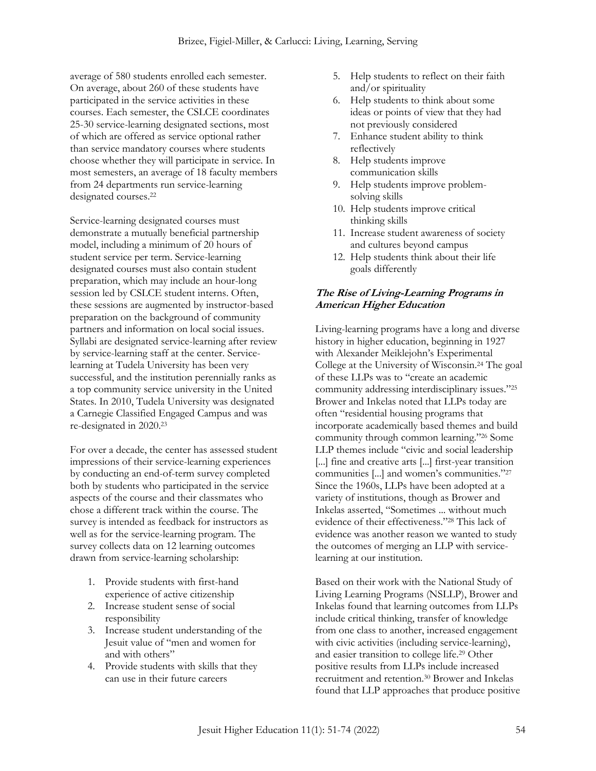average of 580 students enrolled each semester. On average, about 260 of these students have participated in the service activities in these courses. Each semester, the CSLCE coordinates 25-30 service-learning designated sections, most of which are offered as service optional rather than service mandatory courses where students choose whether they will participate in service. In most semesters, an average of 18 faculty members from 24 departments run service-learning designated courses.<sup>22</sup>

Service-learning designated courses must demonstrate a mutually beneficial partnership model, including a minimum of 20 hours of student service per term. Service-learning designated courses must also contain student preparation, which may include an hour-long session led by CSLCE student interns. Often, these sessions are augmented by instructor-based preparation on the background of community partners and information on local social issues. Syllabi are designated service-learning after review by service-learning staff at the center. Servicelearning at Tudela University has been very successful, and the institution perennially ranks as a top community service university in the United States. In 2010, Tudela University was designated a Carnegie Classified Engaged Campus and was re-designated in 2020.<sup>23</sup>

For over a decade, the center has assessed student impressions of their service-learning experiences by conducting an end-of-term survey completed both by students who participated in the service aspects of the course and their classmates who chose a different track within the course. The survey is intended as feedback for instructors as well as for the service-learning program. The survey collects data on 12 learning outcomes drawn from service-learning scholarship:

- 1. Provide students with first-hand experience of active citizenship
- 2. Increase student sense of social responsibility
- 3. Increase student understanding of the Jesuit value of "men and women for and with others"
- 4. Provide students with skills that they can use in their future careers
- 5. Help students to reflect on their faith and/or spirituality
- 6. Help students to think about some ideas or points of view that they had not previously considered
- 7. Enhance student ability to think reflectively
- 8. Help students improve communication skills
- 9. Help students improve problemsolving skills
- 10. Help students improve critical thinking skills
- 11. Increase student awareness of society and cultures beyond campus
- 12. Help students think about their life goals differently

#### **The Rise of Living-Learning Programs in American Higher Education**

Living-learning programs have a long and diverse history in higher education, beginning in 1927 with Alexander Meiklejohn's Experimental College at the University of Wisconsin.<sup>24</sup> The goal of these LLPs was to "create an academic community addressing interdisciplinary issues."<sup>25</sup> Brower and Inkelas noted that LLPs today are often "residential housing programs that incorporate academically based themes and build community through common learning."<sup>26</sup> Some LLP themes include "civic and social leadership [...] fine and creative arts [...] first-year transition communities [...] and women's communities."<sup>27</sup> Since the 1960s, LLPs have been adopted at a variety of institutions, though as Brower and Inkelas asserted, "Sometimes ... without much evidence of their effectiveness."<sup>28</sup> This lack of evidence was another reason we wanted to study the outcomes of merging an LLP with servicelearning at our institution.

Based on their work with the National Study of Living Learning Programs (NSLLP), Brower and Inkelas found that learning outcomes from LLPs include critical thinking, transfer of knowledge from one class to another, increased engagement with civic activities (including service-learning), and easier transition to college life.<sup>29</sup> Other positive results from LLPs include increased recruitment and retention.<sup>30</sup> Brower and Inkelas found that LLP approaches that produce positive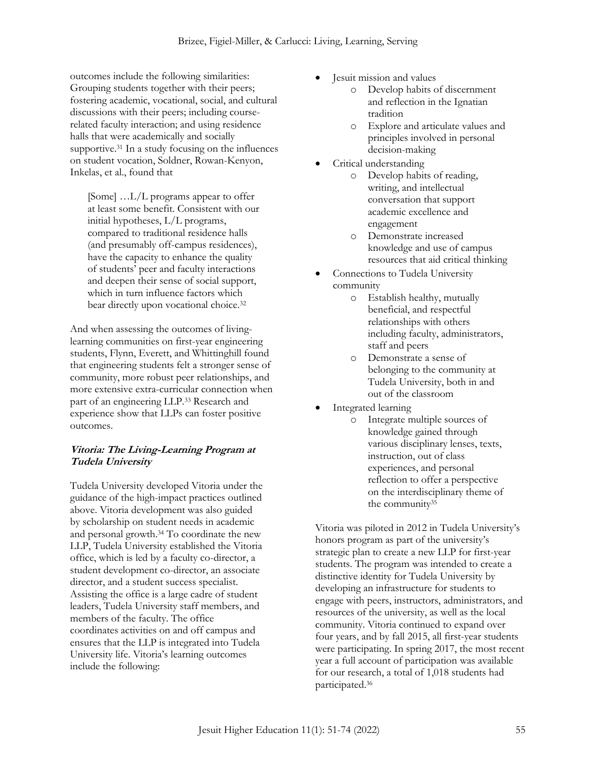outcomes include the following similarities: Grouping students together with their peers; fostering academic, vocational, social, and cultural discussions with their peers; including courserelated faculty interaction; and using residence halls that were academically and socially supportive.<sup>31</sup> In a study focusing on the influences on student vocation, Soldner, Rowan-Kenyon, Inkelas, et al., found that

[Some] ...L/L programs appear to offer at least some benefit. Consistent with our initial hypotheses, L/L programs, compared to traditional residence halls (and presumably off-campus residences), have the capacity to enhance the quality of students' peer and faculty interactions and deepen their sense of social support, which in turn influence factors which bear directly upon vocational choice.<sup>32</sup>

And when assessing the outcomes of livinglearning communities on first-year engineering students, Flynn, Everett, and Whittinghill found that engineering students felt a stronger sense of community, more robust peer relationships, and more extensive extra-curricular connection when part of an engineering LLP.<sup>33</sup> Research and experience show that LLPs can foster positive outcomes.

#### **Vitoria: The Living-Learning Program at Tudela University**

Tudela University developed Vitoria under the guidance of the high-impact practices outlined above. Vitoria development was also guided by scholarship on student needs in academic and personal growth.<sup>34</sup> To coordinate the new LLP, Tudela University established the Vitoria office, which is led by a faculty co-director, a student development co-director, an associate director, and a student success specialist. Assisting the office is a large cadre of student leaders, Tudela University staff members, and members of the faculty. The office coordinates activities on and off campus and ensures that the LLP is integrated into Tudela University life. Vitoria's learning outcomes include the following:

- Jesuit mission and values
	- Develop habits of discernment and reflection in the Ignatian tradition
	- o Explore and articulate values and principles involved in personal decision-making
- Critical understanding
	- o Develop habits of reading, writing, and intellectual conversation that support academic excellence and engagement
	- o Demonstrate increased knowledge and use of campus resources that aid critical thinking
- Connections to Tudela University community
	- o Establish healthy, mutually beneficial, and respectful relationships with others including faculty, administrators, staff and peers
	- o Demonstrate a sense of belonging to the community at Tudela University, both in and out of the classroom
- Integrated learning
	- o Integrate multiple sources of knowledge gained through various disciplinary lenses, texts, instruction, out of class experiences, and personal reflection to offer a perspective on the interdisciplinary theme of the community<sup>35</sup>

Vitoria was piloted in 2012 in Tudela University's honors program as part of the university's strategic plan to create a new LLP for first-year students. The program was intended to create a distinctive identity for Tudela University by developing an infrastructure for students to engage with peers, instructors, administrators, and resources of the university, as well as the local community. Vitoria continued to expand over four years, and by fall 2015, all first-year students were participating. In spring 2017, the most recent year a full account of participation was available for our research, a total of 1,018 students had participated.36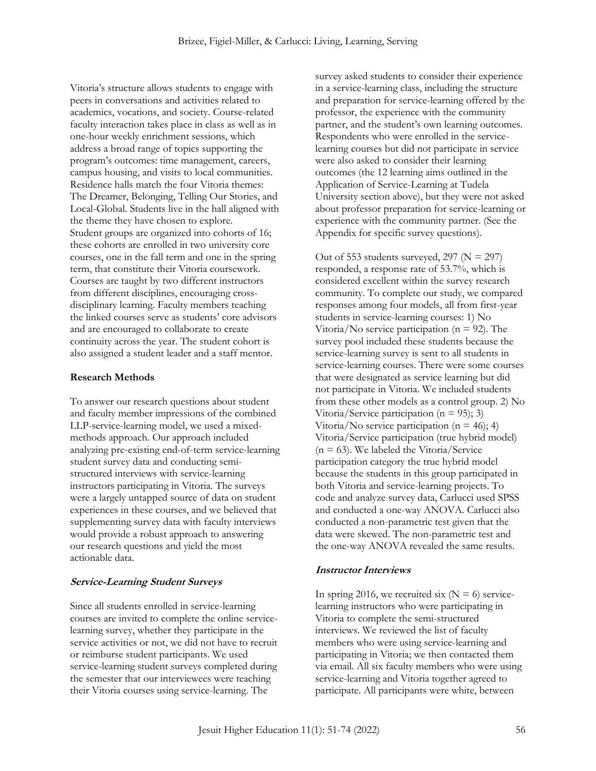Vitoria's structure allows students to engage with peers in conversations and activities related to academics, vocations, and society. Course-related faculty interaction takes place in class as well as in one-hour weekly enrichment sessions, which address a broad range of topics supporting the program's outcomes: time management, careers, campus housing, and visits to local communities. Residence halls match the four Vitoria themes: The Dreamer, Belonging, Telling Our Stories, and Local-Global. Students live in the hall aligned with the theme they have chosen to explore. Student groups are organized into cohorts of 16; these cohorts are enrolled in two university core courses, one in the fall term and one in the spring term, that constitute their Vitoria coursework. Courses are taught by two different instructors from different disciplines, encouraging crossdisciplinary learning. Faculty members teaching the linked courses serve as students' core advisors and are encouraged to collaborate to create continuity across the year. The student cohort is also assigned a student leader and a staff mentor.

#### **Research Methods**

To answer our research questions about student and faculty member impressions of the combined LLP-service-learning model, we used a mixedmethods approach. Our approach included analyzing pre-existing end-of-term service-learning student survey data and conducting semistructured interviews with service-learning instructors participating in Vitoria. The surveys were a largely untapped source of data on student experiences in these courses, and we believed that supplementing survey data with faculty interviews would provide a robust approach to answering our research questions and yield the most actionable data.

#### **Service-Learning Student Surveys**

Since all students enrolled in service-learning courses are invited to complete the online servicelearning survey, whether they participate in the service activities or not, we did not have to recruit or reimburse student participants. We used service-learning student surveys completed during the semester that our interviewees were teaching their Vitoria courses using service-learning. The

survey asked students to consider their experience in a service-learning class, including the structure and preparation for service-learning offered by the professor, the experience with the community partner, and the student's own learning outcomes. Respondents who were enrolled in the servicelearning courses but did not participate in service were also asked to consider their learning outcomes (the 12 learning aims outlined in the Application of Service-Learning at Tudela University section above), but they were not asked about professor preparation for service-learning or experience with the community partner. (See the Appendix for specific survey questions).

Out of 553 students surveyed, 297 ( $N = 297$ ) responded, a response rate of 53.7%, which is considered excellent within the survey research community. To complete our study, we compared responses among four models, all from first-year students in service-learning courses: 1) No Vitoria/No service participation ( $n = 92$ ). The survey pool included these students because the service-learning survey is sent to all students in service-learning courses. There were some courses that were designated as service learning but did not participate in Vitoria. We included students from these other models as a control group. 2) No Vitoria/Service participation ( $n = 95$ ); 3) Vitoria/No service participation ( $n = 46$ ); 4) Vitoria/Service participation (true hybrid model)  $(n = 63)$ . We labeled the Vitoria/Service participation category the true hybrid model because the students in this group participated in both Vitoria and service-learning projects. To code and analyze survey data, Carlucci used SPSS and conducted a one-way ANOVA. Carlucci also conducted a non-parametric test given that the data were skewed. The non-parametric test and the one-way ANOVA revealed the same results.

## **Instructor Interviews**

In spring 2016, we recruited six  $(N = 6)$  servicelearning instructors who were participating in Vitoria to complete the semi-structured interviews. We reviewed the list of faculty members who were using service-learning and participating in Vitoria; we then contacted them via email. All six faculty members who were using service-learning and Vitoria together agreed to participate. All participants were white, between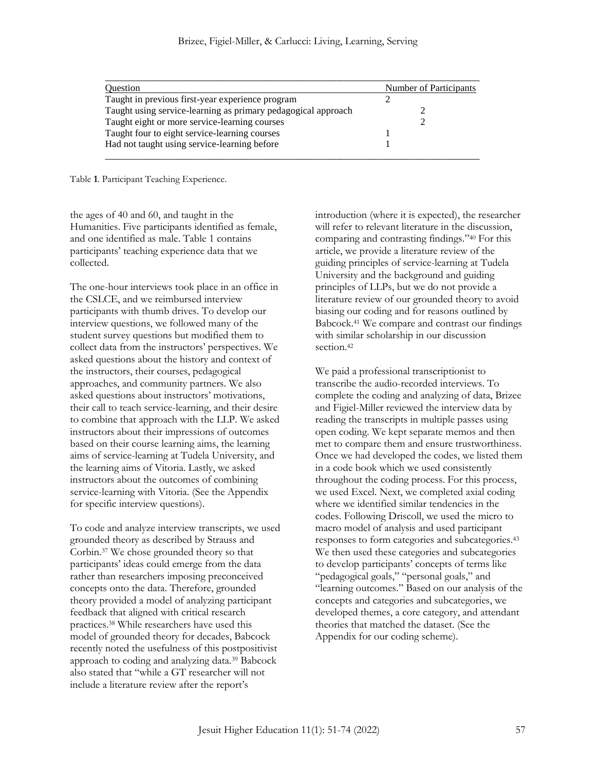| <b>Ouestion</b>                                               | <b>Number of Participants</b> |
|---------------------------------------------------------------|-------------------------------|
| Taught in previous first-year experience program              |                               |
| Taught using service-learning as primary pedagogical approach |                               |
| Taught eight or more service-learning courses                 |                               |
| Taught four to eight service-learning courses                 |                               |
| Had not taught using service-learning before                  |                               |

Table **1**. Participant Teaching Experience.

the ages of 40 and 60, and taught in the Humanities. Five participants identified as female, and one identified as male. Table 1 contains participants' teaching experience data that we collected.

The one-hour interviews took place in an office in the CSLCE, and we reimbursed interview participants with thumb drives. To develop our interview questions, we followed many of the student survey questions but modified them to collect data from the instructors' perspectives. We asked questions about the history and context of the instructors, their courses, pedagogical approaches, and community partners. We also asked questions about instructors' motivations, their call to teach service-learning, and their desire to combine that approach with the LLP. We asked instructors about their impressions of outcomes based on their course learning aims, the learning aims of service-learning at Tudela University, and the learning aims of Vitoria. Lastly, we asked instructors about the outcomes of combining service-learning with Vitoria. (See the Appendix for specific interview questions).

To code and analyze interview transcripts, we used grounded theory as described by Strauss and Corbin.<sup>37</sup> We chose grounded theory so that participants' ideas could emerge from the data rather than researchers imposing preconceived concepts onto the data. Therefore, grounded theory provided a model of analyzing participant feedback that aligned with critical research practices.<sup>38</sup> While researchers have used this model of grounded theory for decades, Babcock recently noted the usefulness of this postpositivist approach to coding and analyzing data.<sup>39</sup> Babcock also stated that "while a GT researcher will not include a literature review after the report's

introduction (where it is expected), the researcher will refer to relevant literature in the discussion, comparing and contrasting findings."<sup>40</sup> For this article, we provide a literature review of the guiding principles of service-learning at Tudela University and the background and guiding principles of LLPs, but we do not provide a literature review of our grounded theory to avoid biasing our coding and for reasons outlined by Babcock.<sup>41</sup> We compare and contrast our findings with similar scholarship in our discussion section.<sup>42</sup>

We paid a professional transcriptionist to transcribe the audio-recorded interviews. To complete the coding and analyzing of data, Brizee and Figiel-Miller reviewed the interview data by reading the transcripts in multiple passes using open coding. We kept separate memos and then met to compare them and ensure trustworthiness. Once we had developed the codes, we listed them in a code book which we used consistently throughout the coding process. For this process, we used Excel. Next, we completed axial coding where we identified similar tendencies in the codes. Following Driscoll, we used the micro to macro model of analysis and used participant responses to form categories and subcategories.<sup>43</sup> We then used these categories and subcategories to develop participants' concepts of terms like "pedagogical goals," "personal goals," and "learning outcomes." Based on our analysis of the concepts and categories and subcategories, we developed themes, a core category, and attendant theories that matched the dataset. (See the Appendix for our coding scheme).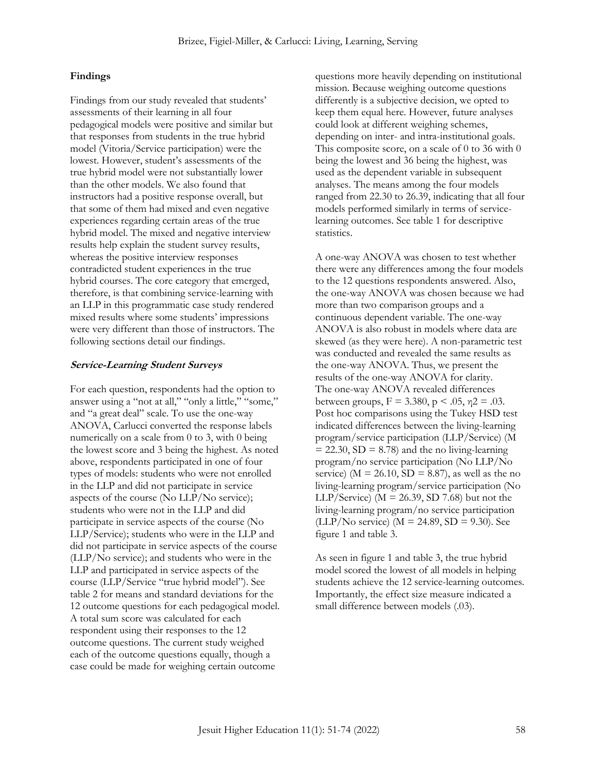#### **Findings**

Findings from our study revealed that students' assessments of their learning in all four pedagogical models were positive and similar but that responses from students in the true hybrid model (Vitoria/Service participation) were the lowest. However, student's assessments of the true hybrid model were not substantially lower than the other models. We also found that instructors had a positive response overall, but that some of them had mixed and even negative experiences regarding certain areas of the true hybrid model. The mixed and negative interview results help explain the student survey results, whereas the positive interview responses contradicted student experiences in the true hybrid courses. The core category that emerged, therefore, is that combining service-learning with an LLP in this programmatic case study rendered mixed results where some students' impressions were very different than those of instructors. The following sections detail our findings.

#### **Service-Learning Student Surveys**

For each question, respondents had the option to answer using a "not at all," "only a little," "some," and "a great deal" scale. To use the one-way ANOVA, Carlucci converted the response labels numerically on a scale from 0 to 3, with 0 being the lowest score and 3 being the highest. As noted above, respondents participated in one of four types of models: students who were not enrolled in the LLP and did not participate in service aspects of the course (No LLP/No service); students who were not in the LLP and did participate in service aspects of the course (No LLP/Service); students who were in the LLP and did not participate in service aspects of the course (LLP/No service); and students who were in the LLP and participated in service aspects of the course (LLP/Service "true hybrid model"). See table 2 for means and standard deviations for the 12 outcome questions for each pedagogical model. A total sum score was calculated for each respondent using their responses to the 12 outcome questions. The current study weighed each of the outcome questions equally, though a case could be made for weighing certain outcome

questions more heavily depending on institutional mission. Because weighing outcome questions differently is a subjective decision, we opted to keep them equal here. However, future analyses could look at different weighing schemes, depending on inter- and intra-institutional goals. This composite score, on a scale of 0 to 36 with 0 being the lowest and 36 being the highest, was used as the dependent variable in subsequent analyses. The means among the four models ranged from 22.30 to 26.39, indicating that all four models performed similarly in terms of servicelearning outcomes. See table 1 for descriptive statistics.

A one-way ANOVA was chosen to test whether there were any differences among the four models to the 12 questions respondents answered. Also, the one-way ANOVA was chosen because we had more than two comparison groups and a continuous dependent variable. The one-way ANOVA is also robust in models where data are skewed (as they were here). A non-parametric test was conducted and revealed the same results as the one-way ANOVA. Thus, we present the results of the one-way ANOVA for clarity. The one-way ANOVA revealed differences between groups,  $F = 3.380$ ,  $p < .05$ ,  $\eta$ 2 = .03. Post hoc comparisons using the Tukey HSD test indicated differences between the living-learning program/service participation (LLP/Service) (M  $= 22.30$ , SD  $= 8.78$ ) and the no living-learning program/no service participation (No LLP/No service) ( $M = 26.10$ ,  $SD = 8.87$ ), as well as the no living-learning program/service participation (No LLP/Service) ( $M = 26.39$ , SD 7.68) but not the living-learning program/no service participation  $(LLP/No$  service) (M = 24.89, SD = 9.30). See figure 1 and table 3.

As seen in figure 1 and table 3, the true hybrid model scored the lowest of all models in helping students achieve the 12 service-learning outcomes. Importantly, the effect size measure indicated a small difference between models (.03).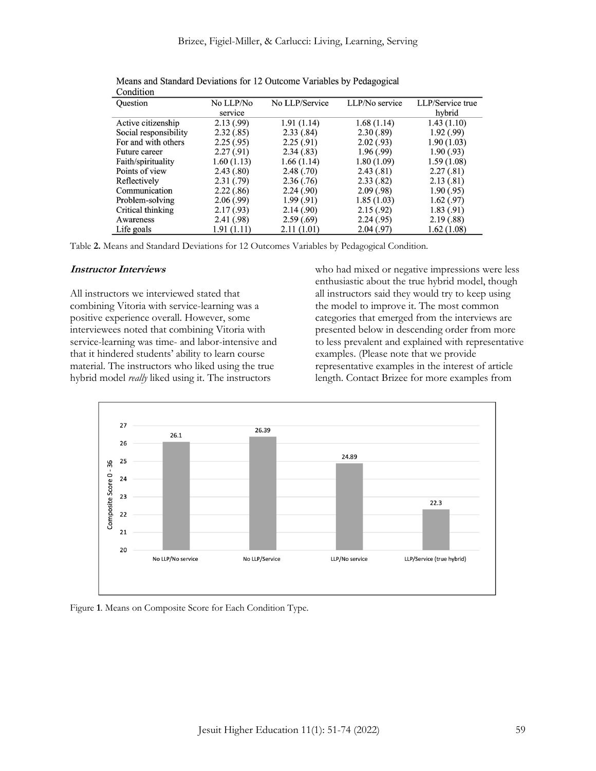| Comunion              |             |                |                |                  |
|-----------------------|-------------|----------------|----------------|------------------|
| Question              | No LLP/No   | No LLP/Service | LLP/No service | LLP/Service true |
|                       | service     |                |                | hybrid           |
| Active citizenship    | 2.13(.99)   | 1.91(1.14)     | 1.68(1.14)     | 1.43(1.10)       |
| Social responsibility | 2.32(.85)   | 2.33(.84)      | 2.30(.89)      | 1.92(0.99)       |
| For and with others   | 2.25(.95)   | 2.25(.91)      | 2.02(0.93)     | 1.90(1.03)       |
| Future career         | 2.27(0.91)  | 2.34(.83)      | 1.96(0.99)     | 1.90(0.93)       |
| Faith/spirituality    | 1.60(1.13)  | 1.66(1.14)     | 1.80(1.09)     | 1.59(1.08)       |
| Points of view        | 2.43(0.80)  | 2.48(.70)      | 2.43(0.81)     | 2.27(.81)        |
| Reflectively          | 2.31(0.79)  | 2.36(.76)      | 2.33(.82)      | 2.13(0.81)       |
| Communication         | 2.22(.86)   | 2.24(0.90)     | 2.09(0.98)     | 1.90(.95)        |
| Problem-solving       | 2.06(0.99)  | 1.99(0.91)     | 1.85(1.03)     | 1.62(.97)        |
| Critical thinking     | 2.17(0.93)  | 2.14(0.90)     | 2.15(.92)      | 1.83(.91)        |
| Awareness             | 2.41(0.98)  | 2.59(.69)      | 2.24(.95)      | 2.19(0.88)       |
| Life goals            | 1.91 (1.11) | 2.11(1.01)     | 2.04(0.97)     | 1.62(1.08)       |

Means and Standard Deviations for 12 Outcome Variables by Pedagogical Condition

Table **2.** Means and Standard Deviations for 12 Outcomes Variables by Pedagogical Condition.

#### **Instructor Interviews**

All instructors we interviewed stated that combining Vitoria with service-learning was a positive experience overall. However, some interviewees noted that combining Vitoria with service-learning was time- and labor-intensive and that it hindered students' ability to learn course material. The instructors who liked using the true hybrid model *really* liked using it. The instructors

who had mixed or negative impressions were less enthusiastic about the true hybrid model, though all instructors said they would try to keep using the model to improve it. The most common categories that emerged from the interviews are presented below in descending order from more to less prevalent and explained with representative examples. (Please note that we provide representative examples in the interest of article length. Contact Brizee for more examples from



Figure **1**. Means on Composite Score for Each Condition Type.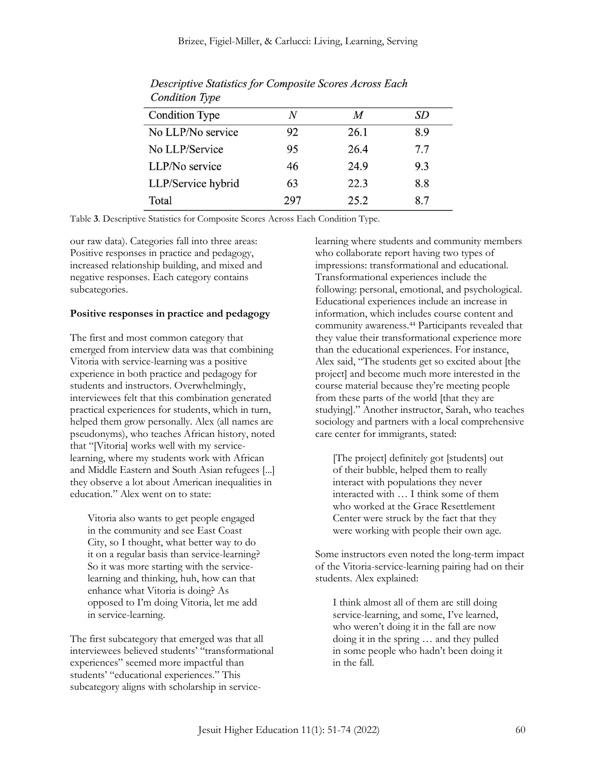| <b>Condition Type</b> | N   | M    | SD  |
|-----------------------|-----|------|-----|
| No LLP/No service     | 92  | 26.1 | 8.9 |
| No LLP/Service        | 95  | 26.4 | 77  |
| LLP/No service        | 46  | 24.9 | 9.3 |
| LLP/Service hybrid    | 63  | 22.3 | 8.8 |
| Total                 | 297 | 25.2 | 8.7 |

Descriptive Statistics for Composite Scores Across Each **Condition Type** 

Table **3**. Descriptive Statistics for Composite Scores Across Each Condition Type.

our raw data). Categories fall into three areas: Positive responses in practice and pedagogy, increased relationship building, and mixed and negative responses. Each category contains subcategories.

#### **Positive responses in practice and pedagogy**

The first and most common category that emerged from interview data was that combining Vitoria with service-learning was a positive experience in both practice and pedagogy for students and instructors. Overwhelmingly, interviewees felt that this combination generated practical experiences for students, which in turn, helped them grow personally. Alex (all names are pseudonyms), who teaches African history, noted that "[Vitoria] works well with my servicelearning, where my students work with African and Middle Eastern and South Asian refugees [...] they observe a lot about American inequalities in education." Alex went on to state:

Vitoria also wants to get people engaged in the community and see East Coast City, so I thought, what better way to do it on a regular basis than service-learning? So it was more starting with the servicelearning and thinking, huh, how can that enhance what Vitoria is doing? As opposed to I'm doing Vitoria, let me add in service-learning.

The first subcategory that emerged was that all interviewees believed students' "transformational experiences" seemed more impactful than students' "educational experiences." This subcategory aligns with scholarship in servicelearning where students and community members who collaborate report having two types of impressions: transformational and educational. Transformational experiences include the following: personal, emotional, and psychological. Educational experiences include an increase in information, which includes course content and community awareness.<sup>44</sup> Participants revealed that they value their transformational experience more than the educational experiences. For instance, Alex said, "The students get so excited about [the project] and become much more interested in the course material because they're meeting people from these parts of the world [that they are studying]." Another instructor, Sarah, who teaches sociology and partners with a local comprehensive care center for immigrants, stated:

[The project] definitely got [students] out of their bubble, helped them to really interact with populations they never interacted with … I think some of them who worked at the Grace Resettlement Center were struck by the fact that they were working with people their own age.

Some instructors even noted the long-term impact of the Vitoria-service-learning pairing had on their students. Alex explained:

I think almost all of them are still doing service-learning, and some, I've learned, who weren't doing it in the fall are now doing it in the spring … and they pulled in some people who hadn't been doing it in the fall.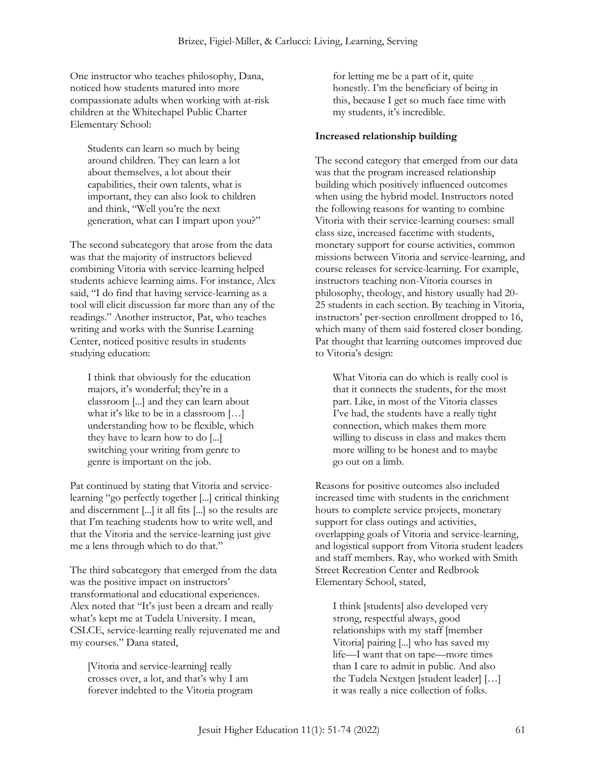One instructor who teaches philosophy, Dana, noticed how students matured into more compassionate adults when working with at-risk children at the Whitechapel Public Charter Elementary School:

Students can learn so much by being around children. They can learn a lot about themselves, a lot about their capabilities, their own talents, what is important, they can also look to children and think, "Well you're the next generation, what can I impart upon you?"

The second subcategory that arose from the data was that the majority of instructors believed combining Vitoria with service-learning helped students achieve learning aims. For instance, Alex said, "I do find that having service-learning as a tool will elicit discussion far more than any of the readings." Another instructor, Pat, who teaches writing and works with the Sunrise Learning Center, noticed positive results in students studying education:

I think that obviously for the education majors, it's wonderful; they're in a classroom [...] and they can learn about what it's like to be in a classroom […] understanding how to be flexible, which they have to learn how to do [...] switching your writing from genre to genre is important on the job.

Pat continued by stating that Vitoria and servicelearning "go perfectly together [...] critical thinking and discernment [...] it all fits [...] so the results are that I'm teaching students how to write well, and that the Vitoria and the service-learning just give me a lens through which to do that."

The third subcategory that emerged from the data was the positive impact on instructors' transformational and educational experiences. Alex noted that "It's just been a dream and really what's kept me at Tudela University. I mean, CSLCE, service-learning really rejuvenated me and my courses." Dana stated,

[Vitoria and service-learning] really crosses over, a lot, and that's why I am forever indebted to the Vitoria program for letting me be a part of it, quite honestly. I'm the beneficiary of being in this, because I get so much face time with my students, it's incredible.

#### **Increased relationship building**

The second category that emerged from our data was that the program increased relationship building which positively influenced outcomes when using the hybrid model. Instructors noted the following reasons for wanting to combine Vitoria with their service-learning courses: small class size, increased facetime with students, monetary support for course activities, common missions between Vitoria and service-learning, and course releases for service-learning. For example, instructors teaching non-Vitoria courses in philosophy, theology, and history usually had 20- 25 students in each section. By teaching in Vitoria, instructors' per-section enrollment dropped to 16, which many of them said fostered closer bonding. Pat thought that learning outcomes improved due to Vitoria's design:

What Vitoria can do which is really cool is that it connects the students, for the most part. Like, in most of the Vitoria classes I've had, the students have a really tight connection, which makes them more willing to discuss in class and makes them more willing to be honest and to maybe go out on a limb.

Reasons for positive outcomes also included increased time with students in the enrichment hours to complete service projects, monetary support for class outings and activities, overlapping goals of Vitoria and service-learning, and logistical support from Vitoria student leaders and staff members. Ray, who worked with Smith Street Recreation Center and Redbrook Elementary School, stated,

I think [students] also developed very strong, respectful always, good relationships with my staff [member Vitoria] pairing [...] who has saved my life—I want that on tape—more times than I care to admit in public. And also the Tudela Nextgen [student leader] […] it was really a nice collection of folks.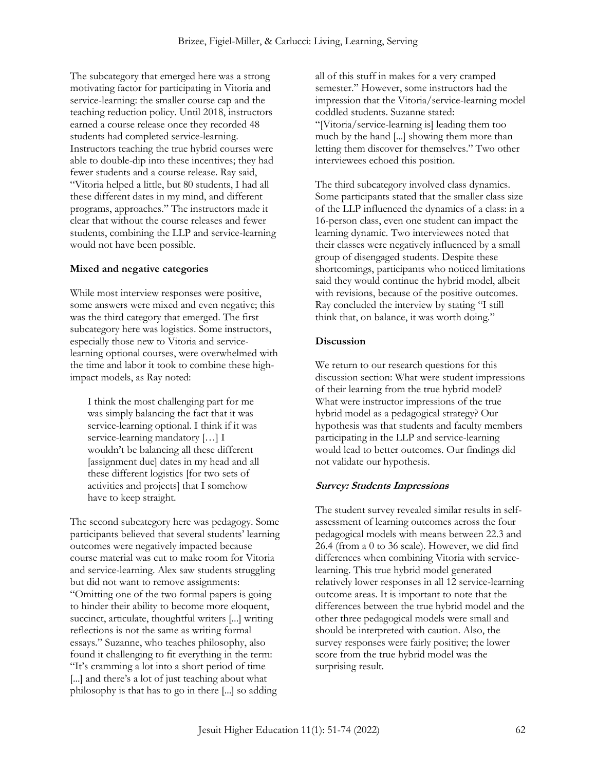The subcategory that emerged here was a strong motivating factor for participating in Vitoria and service-learning: the smaller course cap and the teaching reduction policy. Until 2018, instructors earned a course release once they recorded 48 students had completed service-learning. Instructors teaching the true hybrid courses were able to double-dip into these incentives; they had fewer students and a course release. Ray said, "Vitoria helped a little, but 80 students, I had all these different dates in my mind, and different programs, approaches." The instructors made it clear that without the course releases and fewer students, combining the LLP and service-learning would not have been possible.

#### **Mixed and negative categories**

While most interview responses were positive, some answers were mixed and even negative; this was the third category that emerged. The first subcategory here was logistics. Some instructors, especially those new to Vitoria and servicelearning optional courses, were overwhelmed with the time and labor it took to combine these highimpact models, as Ray noted:

I think the most challenging part for me was simply balancing the fact that it was service-learning optional. I think if it was service-learning mandatory […] I wouldn't be balancing all these different [assignment due] dates in my head and all these different logistics [for two sets of activities and projects] that I somehow have to keep straight.

The second subcategory here was pedagogy. Some participants believed that several students' learning outcomes were negatively impacted because course material was cut to make room for Vitoria and service-learning. Alex saw students struggling but did not want to remove assignments: "Omitting one of the two formal papers is going to hinder their ability to become more eloquent, succinct, articulate, thoughtful writers [...] writing reflections is not the same as writing formal essays." Suzanne, who teaches philosophy, also found it challenging to fit everything in the term: "It's cramming a lot into a short period of time [...] and there's a lot of just teaching about what philosophy is that has to go in there [...] so adding

all of this stuff in makes for a very cramped semester." However, some instructors had the impression that the Vitoria/service-learning model coddled students. Suzanne stated: "[Vitoria/service-learning is] leading them too much by the hand [...] showing them more than letting them discover for themselves." Two other interviewees echoed this position.

The third subcategory involved class dynamics. Some participants stated that the smaller class size of the LLP influenced the dynamics of a class: in a 16-person class, even one student can impact the learning dynamic. Two interviewees noted that their classes were negatively influenced by a small group of disengaged students. Despite these shortcomings, participants who noticed limitations said they would continue the hybrid model, albeit with revisions, because of the positive outcomes. Ray concluded the interview by stating "I still think that, on balance, it was worth doing."

#### **Discussion**

We return to our research questions for this discussion section: What were student impressions of their learning from the true hybrid model? What were instructor impressions of the true hybrid model as a pedagogical strategy? Our hypothesis was that students and faculty members participating in the LLP and service-learning would lead to better outcomes. Our findings did not validate our hypothesis.

#### **Survey: Students Impressions**

The student survey revealed similar results in selfassessment of learning outcomes across the four pedagogical models with means between 22.3 and 26.4 (from a 0 to 36 scale). However, we did find differences when combining Vitoria with servicelearning. This true hybrid model generated relatively lower responses in all 12 service-learning outcome areas. It is important to note that the differences between the true hybrid model and the other three pedagogical models were small and should be interpreted with caution. Also, the survey responses were fairly positive; the lower score from the true hybrid model was the surprising result.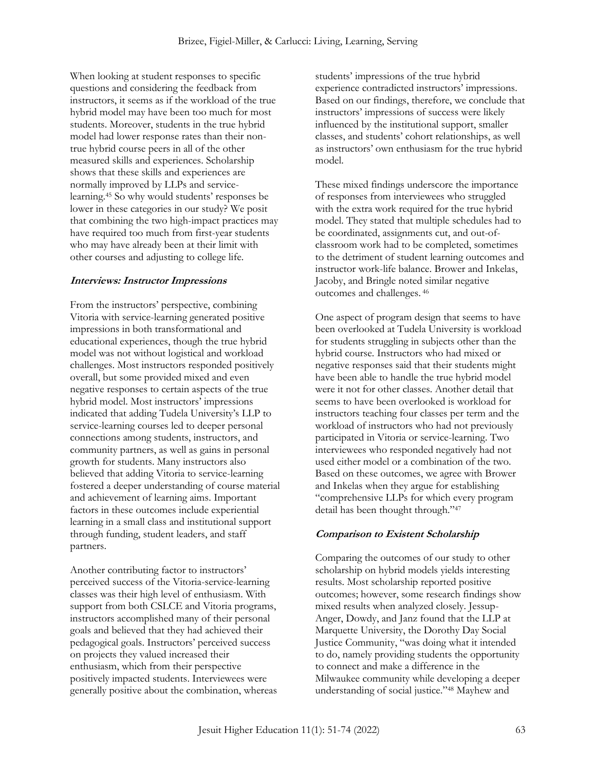When looking at student responses to specific questions and considering the feedback from instructors, it seems as if the workload of the true hybrid model may have been too much for most students. Moreover, students in the true hybrid model had lower response rates than their nontrue hybrid course peers in all of the other measured skills and experiences. Scholarship shows that these skills and experiences are normally improved by LLPs and servicelearning.<sup>45</sup> So why would students' responses be lower in these categories in our study? We posit that combining the two high-impact practices may have required too much from first-year students who may have already been at their limit with other courses and adjusting to college life.

#### **Interviews: Instructor Impressions**

From the instructors' perspective, combining Vitoria with service-learning generated positive impressions in both transformational and educational experiences, though the true hybrid model was not without logistical and workload challenges. Most instructors responded positively overall, but some provided mixed and even negative responses to certain aspects of the true hybrid model. Most instructors' impressions indicated that adding Tudela University's LLP to service-learning courses led to deeper personal connections among students, instructors, and community partners, as well as gains in personal growth for students. Many instructors also believed that adding Vitoria to service-learning fostered a deeper understanding of course material and achievement of learning aims. Important factors in these outcomes include experiential learning in a small class and institutional support through funding, student leaders, and staff partners.

Another contributing factor to instructors' perceived success of the Vitoria-service-learning classes was their high level of enthusiasm. With support from both CSLCE and Vitoria programs, instructors accomplished many of their personal goals and believed that they had achieved their pedagogical goals. Instructors' perceived success on projects they valued increased their enthusiasm, which from their perspective positively impacted students. Interviewees were generally positive about the combination, whereas students' impressions of the true hybrid experience contradicted instructors' impressions. Based on our findings, therefore, we conclude that instructors' impressions of success were likely influenced by the institutional support, smaller classes, and students' cohort relationships, as well as instructors' own enthusiasm for the true hybrid model.

These mixed findings underscore the importance of responses from interviewees who struggled with the extra work required for the true hybrid model. They stated that multiple schedules had to be coordinated, assignments cut, and out-ofclassroom work had to be completed, sometimes to the detriment of student learning outcomes and instructor work-life balance. Brower and Inkelas, Jacoby, and Bringle noted similar negative outcomes and challenges. <sup>46</sup>

One aspect of program design that seems to have been overlooked at Tudela University is workload for students struggling in subjects other than the hybrid course. Instructors who had mixed or negative responses said that their students might have been able to handle the true hybrid model were it not for other classes. Another detail that seems to have been overlooked is workload for instructors teaching four classes per term and the workload of instructors who had not previously participated in Vitoria or service-learning. Two interviewees who responded negatively had not used either model or a combination of the two. Based on these outcomes, we agree with Brower and Inkelas when they argue for establishing "comprehensive LLPs for which every program detail has been thought through."47

## **Comparison to Existent Scholarship**

Comparing the outcomes of our study to other scholarship on hybrid models yields interesting results. Most scholarship reported positive outcomes; however, some research findings show mixed results when analyzed closely. Jessup-Anger, Dowdy, and Janz found that the LLP at Marquette University, the Dorothy Day Social Justice Community, "was doing what it intended to do, namely providing students the opportunity to connect and make a difference in the Milwaukee community while developing a deeper understanding of social justice."<sup>48</sup> Mayhew and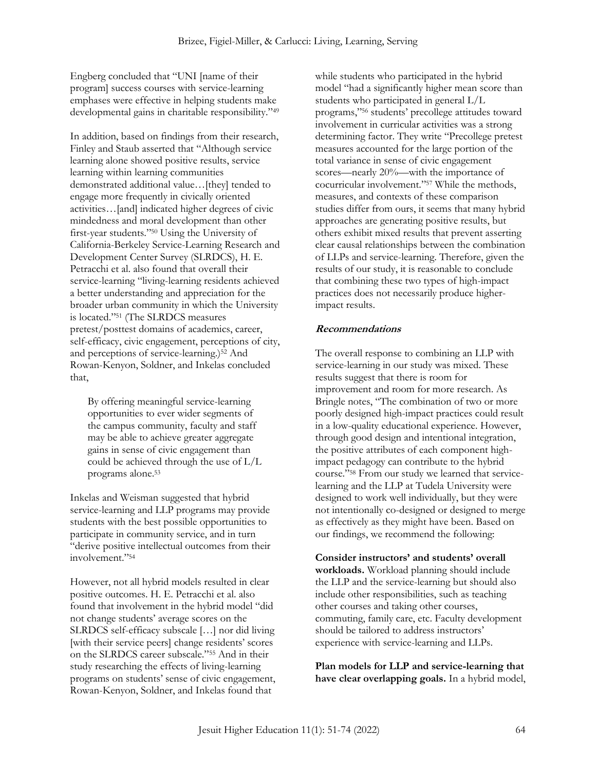Engberg concluded that "UNI [name of their program] success courses with service-learning emphases were effective in helping students make developmental gains in charitable responsibility."<sup>49</sup>

In addition, based on findings from their research, Finley and Staub asserted that "Although service learning alone showed positive results, service learning within learning communities demonstrated additional value…[they] tended to engage more frequently in civically oriented activities…[and] indicated higher degrees of civic mindedness and moral development than other first-year students."<sup>50</sup> Using the University of California-Berkeley Service-Learning Research and Development Center Survey (SLRDCS), H. E. Petracchi et al. also found that overall their service-learning "living-learning residents achieved a better understanding and appreciation for the broader urban community in which the University is located."<sup>51</sup> (The SLRDCS measures pretest/posttest domains of academics, career, self-efficacy, civic engagement, perceptions of city, and perceptions of service-learning.)<sup>52</sup> And Rowan-Kenyon, Soldner, and Inkelas concluded that,

By offering meaningful service-learning opportunities to ever wider segments of the campus community, faculty and staff may be able to achieve greater aggregate gains in sense of civic engagement than could be achieved through the use of L/L programs alone.<sup>53</sup>

Inkelas and Weisman suggested that hybrid service-learning and LLP programs may provide students with the best possible opportunities to participate in community service, and in turn "derive positive intellectual outcomes from their involvement."<sup>54</sup>

However, not all hybrid models resulted in clear positive outcomes. H. E. Petracchi et al. also found that involvement in the hybrid model "did not change students' average scores on the SLRDCS self-efficacy subscale […] nor did living [with their service peers] change residents' scores on the SLRDCS career subscale."<sup>55</sup> And in their study researching the effects of living-learning programs on students' sense of civic engagement, Rowan-Kenyon, Soldner, and Inkelas found that

while students who participated in the hybrid model "had a significantly higher mean score than students who participated in general L/L programs,"<sup>56</sup> students' precollege attitudes toward involvement in curricular activities was a strong determining factor. They write "Precollege pretest measures accounted for the large portion of the total variance in sense of civic engagement scores—nearly 20%—with the importance of cocurricular involvement."<sup>57</sup> While the methods, measures, and contexts of these comparison studies differ from ours, it seems that many hybrid approaches are generating positive results, but others exhibit mixed results that prevent asserting clear causal relationships between the combination of LLPs and service-learning. Therefore, given the results of our study, it is reasonable to conclude that combining these two types of high-impact practices does not necessarily produce higherimpact results.

#### **Recommendations**

The overall response to combining an LLP with service-learning in our study was mixed. These results suggest that there is room for improvement and room for more research. As Bringle notes, "The combination of two or more poorly designed high-impact practices could result in a low-quality educational experience. However, through good design and intentional integration, the positive attributes of each component highimpact pedagogy can contribute to the hybrid course."<sup>58</sup> From our study we learned that servicelearning and the LLP at Tudela University were designed to work well individually, but they were not intentionally co-designed or designed to merge as effectively as they might have been. Based on our findings, we recommend the following:

**Consider instructors' and students' overall workloads.** Workload planning should include the LLP and the service-learning but should also include other responsibilities, such as teaching other courses and taking other courses, commuting, family care, etc. Faculty development should be tailored to address instructors' experience with service-learning and LLPs.

**Plan models for LLP and service-learning that have clear overlapping goals.** In a hybrid model,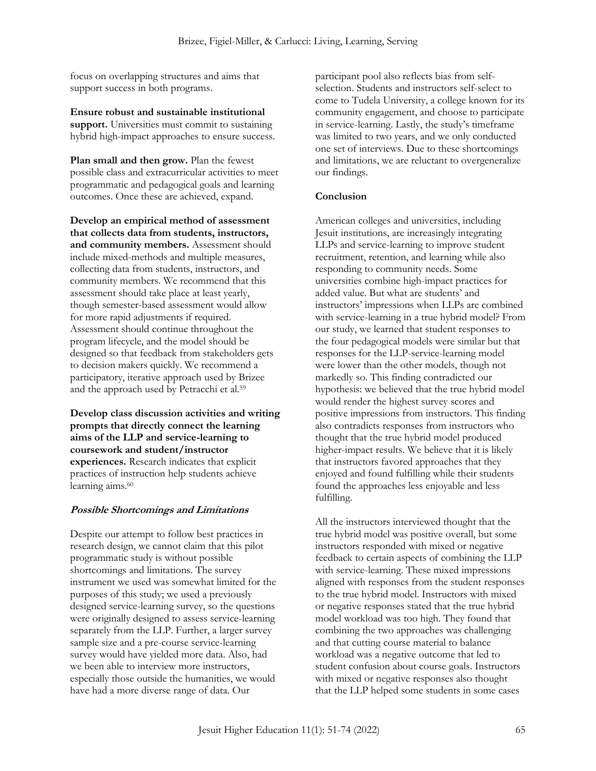focus on overlapping structures and aims that support success in both programs.

**Ensure robust and sustainable institutional support.** Universities must commit to sustaining hybrid high-impact approaches to ensure success.

**Plan small and then grow.** Plan the fewest possible class and extracurricular activities to meet programmatic and pedagogical goals and learning outcomes. Once these are achieved, expand.

**Develop an empirical method of assessment that collects data from students, instructors, and community members.** Assessment should include mixed-methods and multiple measures, collecting data from students, instructors, and community members. We recommend that this assessment should take place at least yearly, though semester-based assessment would allow for more rapid adjustments if required. Assessment should continue throughout the program lifecycle, and the model should be designed so that feedback from stakeholders gets to decision makers quickly. We recommend a participatory, iterative approach used by Brizee and the approach used by Petracchi et al.<sup>59</sup>

**Develop class discussion activities and writing prompts that directly connect the learning aims of the LLP and service-learning to coursework and student/instructor experiences.** Research indicates that explicit practices of instruction help students achieve learning aims.<sup>60</sup>

## **Possible Shortcomings and Limitations**

Despite our attempt to follow best practices in research design, we cannot claim that this pilot programmatic study is without possible shortcomings and limitations. The survey instrument we used was somewhat limited for the purposes of this study; we used a previously designed service-learning survey, so the questions were originally designed to assess service-learning separately from the LLP. Further, a larger survey sample size and a pre-course service-learning survey would have yielded more data. Also, had we been able to interview more instructors, especially those outside the humanities, we would have had a more diverse range of data. Our

participant pool also reflects bias from selfselection. Students and instructors self-select to come to Tudela University, a college known for its community engagement, and choose to participate in service-learning. Lastly, the study's timeframe was limited to two years, and we only conducted one set of interviews. Due to these shortcomings and limitations, we are reluctant to overgeneralize our findings.

#### **Conclusion**

American colleges and universities, including Jesuit institutions, are increasingly integrating LLPs and service-learning to improve student recruitment, retention, and learning while also responding to community needs. Some universities combine high-impact practices for added value. But what are students' and instructors' impressions when LLPs are combined with service-learning in a true hybrid model? From our study, we learned that student responses to the four pedagogical models were similar but that responses for the LLP-service-learning model were lower than the other models, though not markedly so. This finding contradicted our hypothesis: we believed that the true hybrid model would render the highest survey scores and positive impressions from instructors. This finding also contradicts responses from instructors who thought that the true hybrid model produced higher-impact results. We believe that it is likely that instructors favored approaches that they enjoyed and found fulfilling while their students found the approaches less enjoyable and less fulfilling.

All the instructors interviewed thought that the true hybrid model was positive overall, but some instructors responded with mixed or negative feedback to certain aspects of combining the LLP with service-learning. These mixed impressions aligned with responses from the student responses to the true hybrid model. Instructors with mixed or negative responses stated that the true hybrid model workload was too high. They found that combining the two approaches was challenging and that cutting course material to balance workload was a negative outcome that led to student confusion about course goals. Instructors with mixed or negative responses also thought that the LLP helped some students in some cases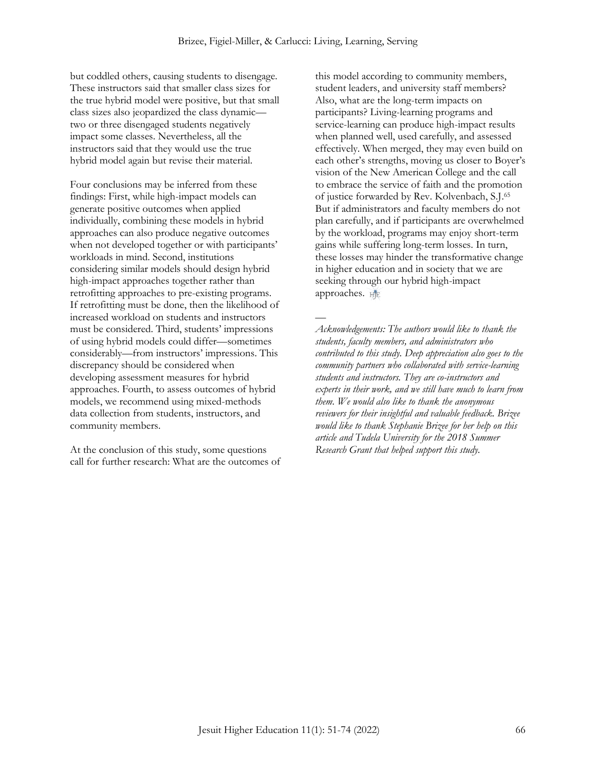but coddled others, causing students to disengage. These instructors said that smaller class sizes for the true hybrid model were positive, but that small class sizes also jeopardized the class dynamic two or three disengaged students negatively impact some classes. Nevertheless, all the instructors said that they would use the true hybrid model again but revise their material.

Four conclusions may be inferred from these findings: First, while high-impact models can generate positive outcomes when applied individually, combining these models in hybrid approaches can also produce negative outcomes when not developed together or with participants' workloads in mind. Second, institutions considering similar models should design hybrid high-impact approaches together rather than retrofitting approaches to pre-existing programs. If retrofitting must be done, then the likelihood of increased workload on students and instructors must be considered. Third, students' impressions of using hybrid models could differ—sometimes considerably—from instructors' impressions. This discrepancy should be considered when developing assessment measures for hybrid approaches. Fourth, to assess outcomes of hybrid models, we recommend using mixed-methods data collection from students, instructors, and community members.

At the conclusion of this study, some questions call for further research: What are the outcomes of this model according to community members, student leaders, and university staff members? Also, what are the long-term impacts on participants? Living-learning programs and service-learning can produce high-impact results when planned well, used carefully, and assessed effectively. When merged, they may even build on each other's strengths, moving us closer to Boyer's vision of the New American College and the call to embrace the service of faith and the promotion of justice forwarded by Rev. Kolvenbach, S.J.<sup>65</sup> But if administrators and faculty members do not plan carefully, and if participants are overwhelmed by the workload, programs may enjoy short-term gains while suffering long-term losses. In turn, these losses may hinder the transformative change in higher education and in society that we are seeking through our hybrid high-impact approaches. HE

— *Acknowledgements: The authors would like to thank the students, faculty members, and administrators who contributed to this study. Deep appreciation also goes to the community partners who collaborated with service-learning students and instructors. They are co-instructors and experts in their work, and we still have much to learn from them. We would also like to thank the anonymous reviewers for their insightful and valuable feedback. Brizee would like to thank Stephanie Brizee for her help on this article and Tudela University for the 2018 Summer Research Grant that helped support this study.*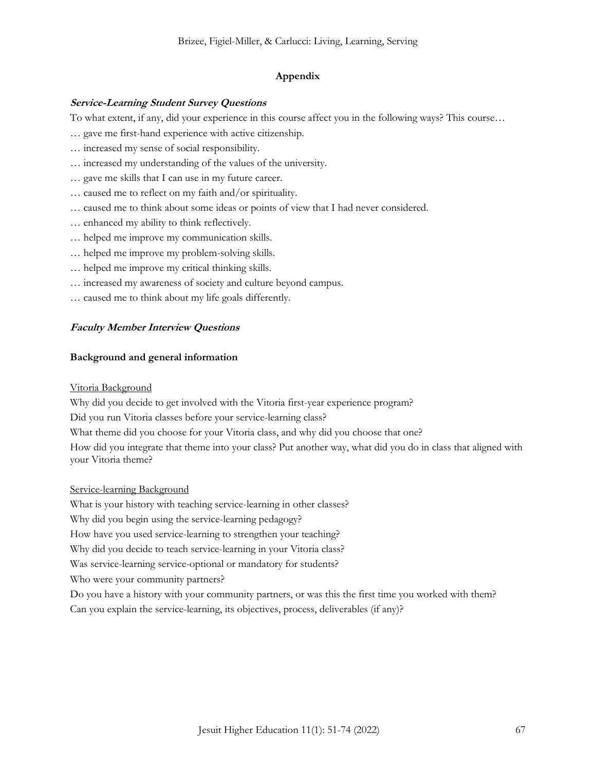#### **Appendix**

#### **Service-Learning Student Survey Questions**

To what extent, if any, did your experience in this course affect you in the following ways? This course…

- … gave me first-hand experience with active citizenship.
- … increased my sense of social responsibility.
- … increased my understanding of the values of the university.
- … gave me skills that I can use in my future career.
- … caused me to reflect on my faith and/or spirituality.
- … caused me to think about some ideas or points of view that I had never considered.
- … enhanced my ability to think reflectively.
- … helped me improve my communication skills.
- … helped me improve my problem-solving skills.
- … helped me improve my critical thinking skills.
- … increased my awareness of society and culture beyond campus.
- … caused me to think about my life goals differently.

#### **Faculty Member Interview Questions**

#### **Background and general information**

#### Vitoria Background

Why did you decide to get involved with the Vitoria first-year experience program?

Did you run Vitoria classes before your service-learning class?

What theme did you choose for your Vitoria class, and why did you choose that one?

How did you integrate that theme into your class? Put another way, what did you do in class that aligned with your Vitoria theme?

#### Service-learning Background

What is your history with teaching service-learning in other classes?

Why did you begin using the service-learning pedagogy?

How have you used service-learning to strengthen your teaching?

Why did you decide to teach service-learning in your Vitoria class?

Was service-learning service-optional or mandatory for students?

Who were your community partners?

Do you have a history with your community partners, or was this the first time you worked with them?

Can you explain the service-learning, its objectives, process, deliverables (if any)?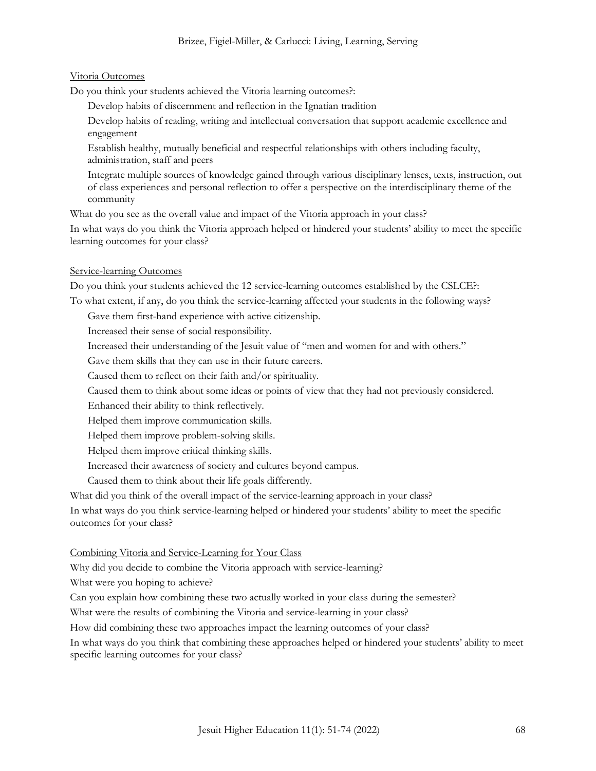#### Vitoria Outcomes

Do you think your students achieved the Vitoria learning outcomes?:

- Develop habits of discernment and reflection in the Ignatian tradition
- Develop habits of reading, writing and intellectual conversation that support academic excellence and engagement
- Establish healthy, mutually beneficial and respectful relationships with others including faculty, administration, staff and peers
- Integrate multiple sources of knowledge gained through various disciplinary lenses, texts, instruction, out of class experiences and personal reflection to offer a perspective on the interdisciplinary theme of the community

What do you see as the overall value and impact of the Vitoria approach in your class?

In what ways do you think the Vitoria approach helped or hindered your students' ability to meet the specific learning outcomes for your class?

#### Service-learning Outcomes

Do you think your students achieved the 12 service-learning outcomes established by the CSLCE?:

To what extent, if any, do you think the service-learning affected your students in the following ways?

Gave them first-hand experience with active citizenship.

Increased their sense of social responsibility.

Increased their understanding of the Jesuit value of "men and women for and with others."

Gave them skills that they can use in their future careers.

Caused them to reflect on their faith and/or spirituality.

Caused them to think about some ideas or points of view that they had not previously considered.

Enhanced their ability to think reflectively.

Helped them improve communication skills.

Helped them improve problem-solving skills.

Helped them improve critical thinking skills.

Increased their awareness of society and cultures beyond campus.

Caused them to think about their life goals differently.

What did you think of the overall impact of the service-learning approach in your class?

In what ways do you think service-learning helped or hindered your students' ability to meet the specific outcomes for your class?

#### Combining Vitoria and Service-Learning for Your Class

Why did you decide to combine the Vitoria approach with service-learning?

What were you hoping to achieve?

Can you explain how combining these two actually worked in your class during the semester?

What were the results of combining the Vitoria and service-learning in your class?

How did combining these two approaches impact the learning outcomes of your class?

In what ways do you think that combining these approaches helped or hindered your students' ability to meet specific learning outcomes for your class?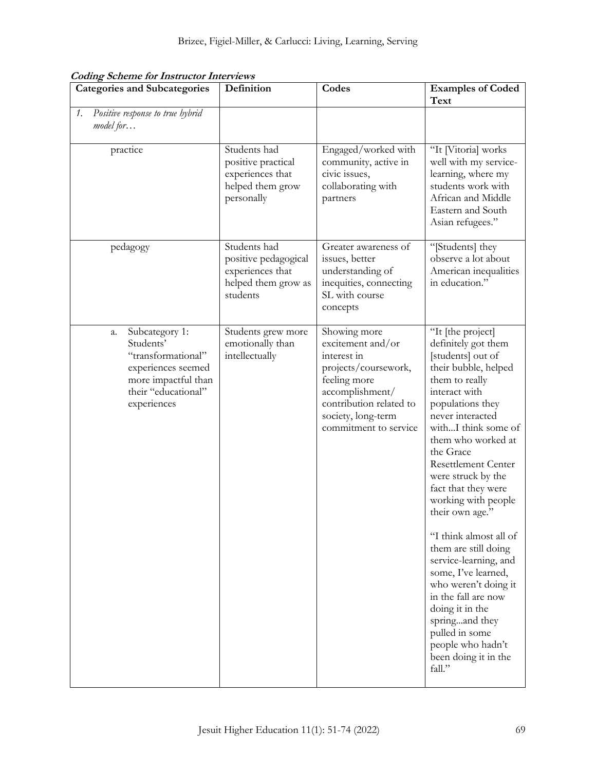| <b>Categories and Subcategories</b>                                                                                                        | Definition                                                                                  | Codes                                                                                                                                                                                 | <b>Examples of Coded</b><br>Text                                                                                                                                                                                                                                                                                                                                                                                                                                                                                                                                                                               |
|--------------------------------------------------------------------------------------------------------------------------------------------|---------------------------------------------------------------------------------------------|---------------------------------------------------------------------------------------------------------------------------------------------------------------------------------------|----------------------------------------------------------------------------------------------------------------------------------------------------------------------------------------------------------------------------------------------------------------------------------------------------------------------------------------------------------------------------------------------------------------------------------------------------------------------------------------------------------------------------------------------------------------------------------------------------------------|
| Positive response to true hybrid<br>$\mathcal{I}$ .<br>model for                                                                           |                                                                                             |                                                                                                                                                                                       |                                                                                                                                                                                                                                                                                                                                                                                                                                                                                                                                                                                                                |
| practice                                                                                                                                   | Students had<br>positive practical<br>experiences that<br>helped them grow<br>personally    | Engaged/worked with<br>community, active in<br>civic issues,<br>collaborating with<br>partners                                                                                        | "It [Vitoria] works<br>well with my service-<br>learning, where my<br>students work with<br>African and Middle<br>Eastern and South<br>Asian refugees."                                                                                                                                                                                                                                                                                                                                                                                                                                                        |
| pedagogy                                                                                                                                   | Students had<br>positive pedagogical<br>experiences that<br>helped them grow as<br>students | Greater awareness of<br>issues, better<br>understanding of<br>inequities, connecting<br>SL with course<br>concepts                                                                    | "[Students] they<br>observe a lot about<br>American inequalities<br>in education."                                                                                                                                                                                                                                                                                                                                                                                                                                                                                                                             |
| Subcategory 1:<br>a.<br>Students'<br>"transformational"<br>experiences seemed<br>more impactful than<br>their "educational"<br>experiences | Students grew more<br>emotionally than<br>intellectually                                    | Showing more<br>excitement and/or<br>interest in<br>projects/coursework,<br>feeling more<br>accomplishment/<br>contribution related to<br>society, long-term<br>commitment to service | "It [the project]<br>definitely got them<br>[students] out of<br>their bubble, helped<br>them to really<br>interact with<br>populations they<br>never interacted<br>withI think some of<br>them who worked at<br>the Grace<br><b>Resettlement Center</b><br>were struck by the<br>fact that they were<br>working with people<br>their own age."<br>"I think almost all of<br>them are still doing<br>service-learning, and<br>some, I've learned,<br>who weren't doing it<br>in the fall are now<br>doing it in the<br>springand they<br>pulled in some<br>people who hadn't<br>been doing it in the<br>fall." |

**Coding Scheme for Instructor Interviews**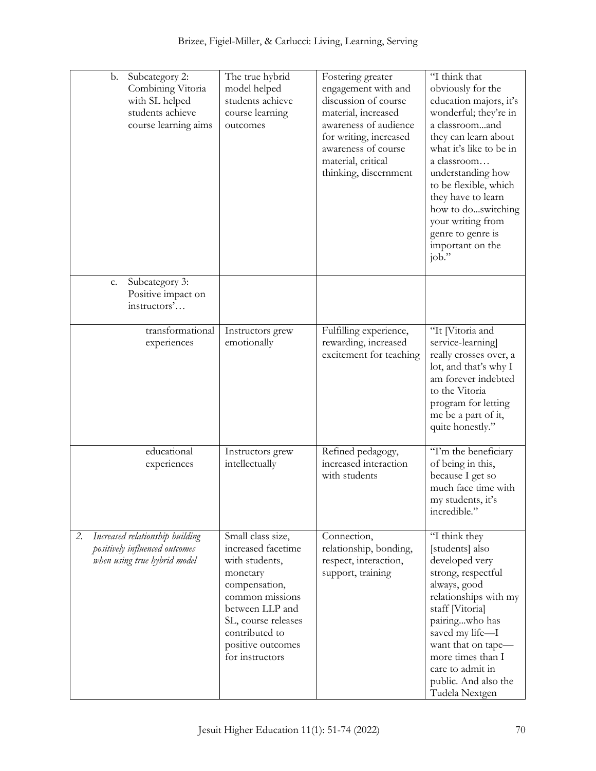| Subcategory 2:<br>b.<br>Combining Vitoria<br>with SL helped<br>students achieve<br>course learning aims | The true hybrid<br>model helped<br>students achieve<br>course learning<br>outcomes                                                                                                                            | Fostering greater<br>engagement with and<br>discussion of course<br>material, increased<br>awareness of audience<br>for writing, increased<br>awareness of course<br>material, critical<br>thinking, discernment | "I think that<br>obviously for the<br>education majors, it's<br>wonderful; they're in<br>a classroomand<br>they can learn about<br>what it's like to be in<br>a classroom<br>understanding how<br>to be flexible, which<br>they have to learn<br>how to doswitching<br>your writing from<br>genre to genre is<br>important on the<br>job." |
|---------------------------------------------------------------------------------------------------------|---------------------------------------------------------------------------------------------------------------------------------------------------------------------------------------------------------------|------------------------------------------------------------------------------------------------------------------------------------------------------------------------------------------------------------------|--------------------------------------------------------------------------------------------------------------------------------------------------------------------------------------------------------------------------------------------------------------------------------------------------------------------------------------------|
| Subcategory 3:<br>c.<br>Positive impact on<br>instructors'                                              |                                                                                                                                                                                                               |                                                                                                                                                                                                                  |                                                                                                                                                                                                                                                                                                                                            |
| transformational<br>experiences                                                                         | Instructors grew<br>emotionally                                                                                                                                                                               | Fulfilling experience,<br>rewarding, increased<br>excitement for teaching                                                                                                                                        | "It [Vitoria and<br>service-learning]<br>really crosses over, a<br>lot, and that's why I<br>am forever indebted<br>to the Vitoria<br>program for letting<br>me be a part of it,<br>quite honestly."                                                                                                                                        |
| educational<br>experiences                                                                              | Instructors grew<br>intellectually                                                                                                                                                                            | Refined pedagogy,<br>increased interaction<br>with students                                                                                                                                                      | "I'm the beneficiary<br>of being in this,<br>because I get so<br>much face time with<br>my students, it's<br>incredible."                                                                                                                                                                                                                  |
| Increased relationship building<br>2.<br>positively influenced outcomes<br>when using true hybrid model | Small class size,<br>increased facetime<br>with students,<br>monetary<br>compensation,<br>common missions<br>between LLP and<br>SL, course releases<br>contributed to<br>positive outcomes<br>for instructors | Connection,<br>relationship, bonding,<br>respect, interaction,<br>support, training                                                                                                                              | "I think they<br>[students] also<br>developed very<br>strong, respectful<br>always, good<br>relationships with my<br>staff [Vitoria]<br>pairingwho has<br>saved my life-I<br>want that on tape-<br>more times than I<br>care to admit in<br>public. And also the<br>Tudela Nextgen                                                         |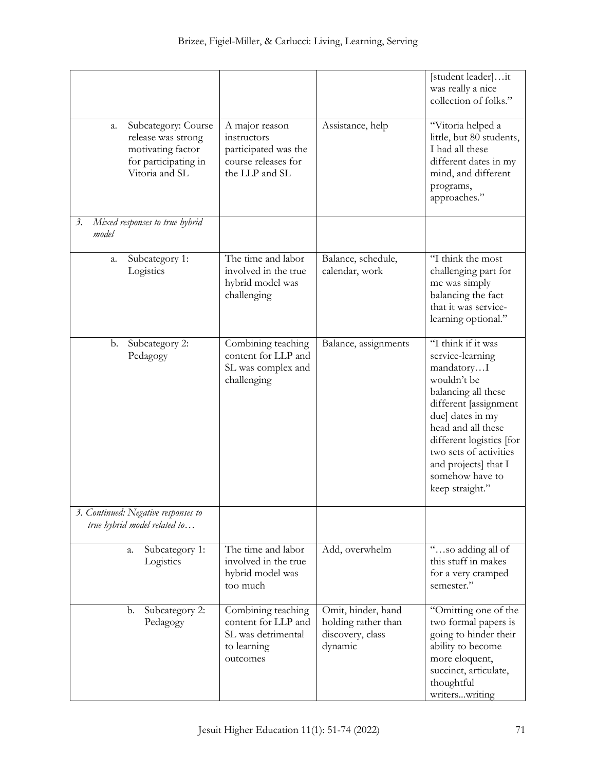|                                                                                                                |                                                                                                |                                                                          | [student leader]it<br>was really a nice<br>collection of folks."                                                                                                                                                                                                                  |
|----------------------------------------------------------------------------------------------------------------|------------------------------------------------------------------------------------------------|--------------------------------------------------------------------------|-----------------------------------------------------------------------------------------------------------------------------------------------------------------------------------------------------------------------------------------------------------------------------------|
| Subcategory: Course<br>a.<br>release was strong<br>motivating factor<br>for participating in<br>Vitoria and SL | A major reason<br>instructors<br>participated was the<br>course releases for<br>the LLP and SL | Assistance, help                                                         | "Vitoria helped a<br>little, but 80 students,<br>I had all these<br>different dates in my<br>mind, and different<br>programs,<br>approaches."                                                                                                                                     |
| Mixed responses to true hybrid<br>$\beta$ .<br>model                                                           |                                                                                                |                                                                          |                                                                                                                                                                                                                                                                                   |
| Subcategory 1:<br>a.<br>Logistics                                                                              | The time and labor<br>involved in the true<br>hybrid model was<br>challenging                  | Balance, schedule,<br>calendar, work                                     | "I think the most<br>challenging part for<br>me was simply<br>balancing the fact<br>that it was service-<br>learning optional."                                                                                                                                                   |
| Subcategory 2:<br>b.<br>Pedagogy                                                                               | Combining teaching<br>content for LLP and<br>SL was complex and<br>challenging                 | Balance, assignments                                                     | "I think if it was<br>service-learning<br>mandatoryI<br>wouldn't be<br>balancing all these<br>different [assignment<br>due] dates in my<br>head and all these<br>different logistics [for<br>two sets of activities<br>and projects] that I<br>somehow have to<br>keep straight." |
| 3. Continued: Negative responses to<br>true hybrid model related to                                            |                                                                                                |                                                                          |                                                                                                                                                                                                                                                                                   |
| Subcategory 1:<br>a.<br>Logistics                                                                              | The time and labor<br>involved in the true<br>hybrid model was<br>too much                     | Add, overwhelm                                                           | "so adding all of<br>this stuff in makes<br>for a very cramped<br>semester."                                                                                                                                                                                                      |
| Subcategory 2:<br>b.<br>Pedagogy                                                                               | Combining teaching<br>content for LLP and<br>SL was detrimental<br>to learning<br>outcomes     | Omit, hinder, hand<br>holding rather than<br>discovery, class<br>dynamic | "Omitting one of the<br>two formal papers is<br>going to hinder their<br>ability to become<br>more eloquent,<br>succinct, articulate,<br>thoughtful<br>writerswriting                                                                                                             |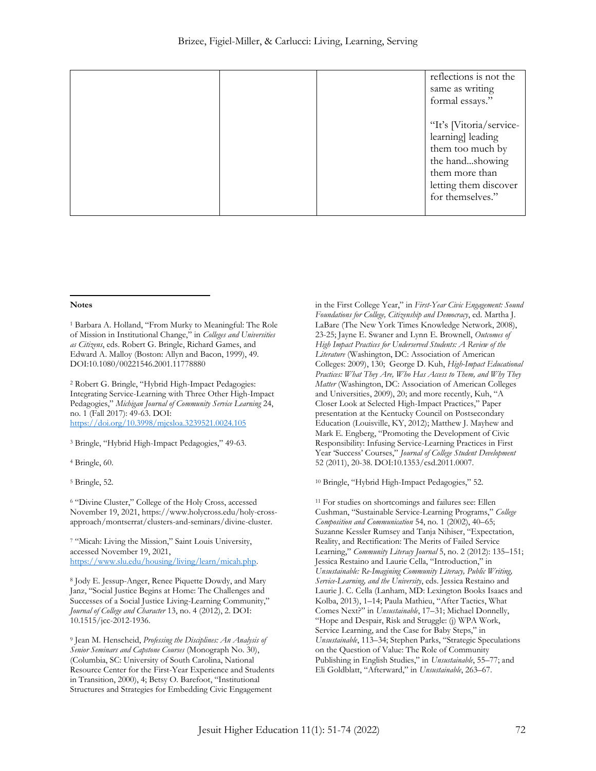|  | reflections is not the<br>same as writing<br>formal essays." |
|--|--------------------------------------------------------------|
|  | "It's [Vitoria/service-<br>learning] leading                 |
|  | them too much by<br>the handshowing<br>them more than        |
|  | letting them discover<br>for themselves."                    |

#### **Notes**

<sup>1</sup> Barbara A. Holland, "From Murky to Meaningful: The Role of Mission in Institutional Change," in *Colleges and Universities as Citizens*, eds. Robert G. Bringle, Richard Games, and Edward A. Malloy (Boston: Allyn and Bacon, 1999), 49. DOI:10.1080/00221546.2001.11778880

<sup>2</sup> Robert G. Bringle, "Hybrid High-Impact Pedagogies: Integrating Service-Learning with Three Other High-Impact Pedagogies," *Michigan Journal of Community Service Learning* 24, no. 1 (Fall 2017): 49-63. DOI: <https://doi.org/10.3998/mjcsloa.3239521.0024.105>

<sup>3</sup> Bringle, "Hybrid High-Impact Pedagogies," 49-63.

<sup>4</sup> Bringle, 60.

<sup>5</sup> Bringle, 52.

<sup>6</sup> "Divine Cluster," College of the Holy Cross, accessed November 19, 2021, [https://www.holycross.edu/holy-cross](https://www.holycross.edu/holy-cross-approach/montserrat/clusters-and-seminars/divine-cluster)[approach/montserrat/clusters-and-seminars/divine-cluster.](https://www.holycross.edu/holy-cross-approach/montserrat/clusters-and-seminars/divine-cluster)

<sup>7</sup> "Micah: Living the Mission," Saint Louis University, accessed November 19, 2021, [https://www.slu.edu/housing/living/learn/micah.php.](https://www.slu.edu/housing/living/learn/micah.php)

<sup>8</sup> Jody E. Jessup-Anger, Renee Piquette Dowdy, and Mary Janz, "Social Justice Begins at Home: The Challenges and Successes of a Social Justice Living-Learning Community," *Journal of College and Character* 13, no. 4 (2012), 2. DOI: 10.1515/jcc-2012-1936.

<sup>9</sup> Jean M. Henscheid, *Professing the Disciplines: An Analysis of Senior Seminars and Capstone Courses* (Monograph No. 30), (Columbia, SC: University of South Carolina, National Resource Center for the First-Year Experience and Students in Transition, 2000), 4; Betsy O. Barefoot, "Institutional Structures and Strategies for Embedding Civic Engagement

in the First College Year," in *First-Year Civic Engagement: Sound Foundations for College, Citizenship and Democracy*, ed. Martha J. LaBare (The New York Times Knowledge Network, 2008), 23-25; Jayne E. Swaner and Lynn E. Brownell, *Outcomes of High Impact Practices for Underserved Students: A Review of the Literature* (Washington, DC: Association of American Colleges: 2009), 130; George D. Kuh, *High-Impact Educational Practices: What They Are, Who Has Access to Them, and Why They Matter* (Washington, DC: Association of American Colleges and Universities, 2009), 20; and more recently, Kuh, "A Closer Look at Selected High-Impact Practices," Paper presentation at the Kentucky Council on Postsecondary Education (Louisville, KY, 2012); Matthew J. Mayhew and Mark E. Engberg, "Promoting the Development of Civic Responsibility: Infusing Service-Learning Practices in First Year 'Success' Courses," *Journal of College Student Development* 52 (2011), 20-38. DOI:10.1353/csd.2011.0007.

<sup>10</sup> Bringle, "Hybrid High-Impact Pedagogies," 52.

<sup>11</sup> For studies on shortcomings and failures see: Ellen Cushman, "Sustainable Service-Learning Programs," *College Composition and Communication* 54, no. 1 (2002), 40–65; Suzanne Kessler Rumsey and Tanja Nihiser, "Expectation, Reality, and Rectification: The Merits of Failed Service Learning," *Community Literacy Journal* 5, no. 2 (2012): 135–151; Jessica Restaino and Laurie Cella, "Introduction," in *Unsustainable: Re-Imagining Community Literacy, Public Writing, Service-Learning, and the University*, eds. Jessica Restaino and Laurie J. C. Cella (Lanham, MD: Lexington Books Isaacs and Kolba, 2013), 1–14; Paula Mathieu, "After Tactics, What Comes Next?" in *Unsustainable*, 17–31; Michael Donnelly, "Hope and Despair, Risk and Struggle: (j) WPA Work, Service Learning, and the Case for Baby Steps," in *Unsustainable*, 113–34; Stephen Parks, "Strategic Speculations on the Question of Value: The Role of Community Publishing in English Studies," in *Unsustainable*, 55–77; and Eli Goldblatt, "Afterward," in *Unsustainable*, 263–67.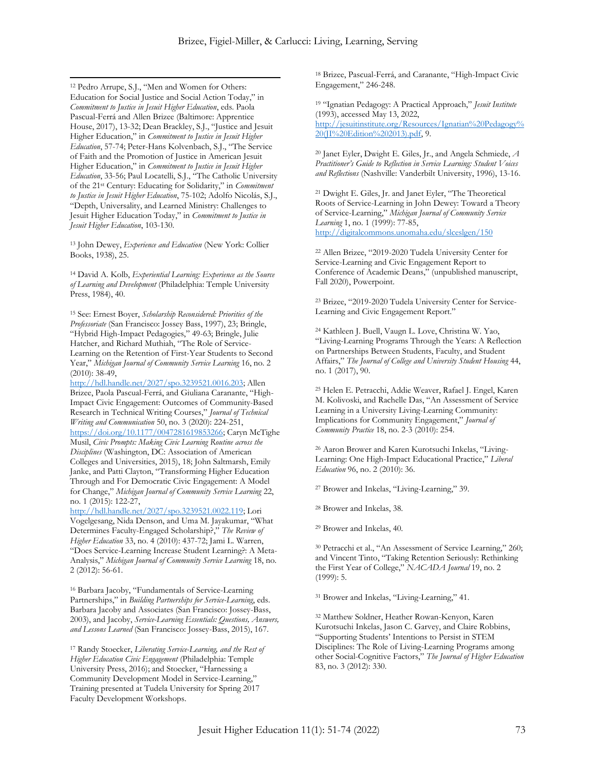$\overline{a}$ <sup>12</sup> Pedro Arrupe, S.J., "Men and Women for Others: Education for Social Justice and Social Action Today," in *Commitment to Justice in Jesuit Higher Education*, eds. Paola Pascual-Ferrá and Allen Brizee (Baltimore: Apprentice House, 2017), 13-32; Dean Brackley, S.J., "Justice and Jesuit Higher Education," in *Commitment to Justice in Jesuit Higher Education*, 57-74; Peter-Hans Kolvenbach, S.J., "The Service of Faith and the Promotion of Justice in American Jesuit Higher Education," in *Commitment to Justice in Jesuit Higher Education*, 33-56; Paul Locatelli, S.J., "The Catholic University of the 21st Century: Educating for Solidarity," in *Commitment to Justice in Jesuit Higher Education*, 75-102; Adolfo Nicolás, S.J., "Depth, Universality, and Learned Ministry: Challenges to Jesuit Higher Education Today," in *Commitment to Justice in Jesuit Higher Education*, 103-130.

<sup>13</sup> John Dewey, *Experience and Education* (New York: Collier Books, 1938), 25.

<sup>14</sup> David A. Kolb, *Experiential Learning: Experience as the Source of Learning and Development* (Philadelphia: Temple University Press, 1984), 40.

<sup>15</sup> See: Ernest Boyer, *Scholarship Reconsidered: Priorities of the Professoriate* (San Francisco: Jossey Bass, 1997), 23; Bringle, "Hybrid High-Impact Pedagogies," 49-63; Bringle, Julie Hatcher, and Richard Muthiah, "The Role of Service-Learning on the Retention of First-Year Students to Second Year," *Michigan Journal of Community Service Learning* 16, no. 2 (2010): 38-49,

[http://hdl.handle.net/2027/spo.3239521.0016.203;](http://hdl.handle.net/2027/spo.3239521.0016.203) Allen Brizee, Paola Pascual-Ferrá, and Giuliana Caranante, "High-Impact Civic Engagement: Outcomes of Community-Based Research in Technical Writing Courses," *Journal of Technical Writing and Communication* 50, no. 3 (2020): 224-251, [https://doi.org/10.1177/0047281619853266;](https://doi.org/10.1177/0047281619853266) Caryn McTighe Musil, *Civic Prompts: Making Civic Learning Routine across the Disciplines* (Washington, DC: Association of American Colleges and Universities, 2015), 18; John Saltmarsh, Emily Janke, and Patti Clayton, "Transforming Higher Education Through and For Democratic Civic Engagement: A Model for Change," *Michigan Journal of Community Service Learning* 22, no. 1 (2015): 122-27,

[http://hdl.handle.net/2027/spo.3239521.0022.119;](http://hdl.handle.net/2027/spo.3239521.0022.119) Lori Vogelgesang, Nida Denson, and Uma M. Jayakumar, "What Determines Faculty-Engaged Scholarship?," *The Review of Higher Education* 33, no. 4 (2010): 437-72; Jami L. Warren, "Does Service-Learning Increase Student Learning?: A Meta-Analysis," *Michigan Journal of Community Service Learning* 18, no. 2 (2012): 56-61.

<sup>16</sup> Barbara Jacoby, "Fundamentals of Service-Learning Partnerships," in *Building Partnerships for Service-Learning*, eds. Barbara Jacoby and Associates (San Francisco: Jossey-Bass, 2003), and Jacoby, *Service-Learning Essentials: Questions, Answers, and Lessons Learned* (San Francisco: Jossey-Bass, 2015), 167.

<sup>17</sup> Randy Stoecker, *Liberating Service-Learning, and the Rest of Higher Education Civic Engagement* (Philadelphia: Temple University Press, 2016); and Stoecker, "Harnessing a Community Development Model in Service-Learning," Training presented at Tudela University for Spring 2017 Faculty Development Workshops.

<sup>18</sup> Brizee, Pascual-Ferrá, and Caranante, "High-Impact Civic Engagement," 246-248.

<sup>19</sup> "Ignatian Pedagogy: A Practical Approach," *Jesuit Institute*  (1993), accessed May 13, 2022, [http://jesuitinstitute.org/Resources/Ignatian%20Pedagogy%](http://jesuitinstitute.org/Resources/Ignatian%20Pedagogy%20(JI%20Edition%202013).pdf) [20\(JI%20Edition%202013\).pdf,](http://jesuitinstitute.org/Resources/Ignatian%20Pedagogy%20(JI%20Edition%202013).pdf) 9.

<sup>20</sup> Janet Eyler, Dwight E. Giles, Jr., and Angela Schmiede, *A Practitioner's Guide to Reflection in Service Learning: Student Voices and Reflections* (Nashville: Vanderbilt University, 1996), 13-16.

<sup>21</sup> Dwight E. Giles, Jr. and Janet Eyler, "The Theoretical Roots of Service-Learning in John Dewey: Toward a Theory of Service-Learning," *Michigan Journal of Community Service Learning* 1, no. 1 (1999): 77-85, <http://digitalcommons.unomaha.edu/slceslgen/150>

<sup>22</sup> Allen Brizee, "2019-2020 Tudela University Center for Service-Learning and Civic Engagement Report to Conference of Academic Deans," (unpublished manuscript, Fall 2020), Powerpoint.

<sup>23</sup> Brizee, "2019-2020 Tudela University Center for Service-Learning and Civic Engagement Report."

<sup>24</sup> Kathleen J. Buell, Vaugn L. Love, Christina W. Yao, "Living-Learning Programs Through the Years: A Reflection on Partnerships Between Students, Faculty, and Student Affairs," *The Journal of College and University Student Housing* 44, no. 1 (2017), 90.

<sup>25</sup> Helen E. Petracchi, Addie Weaver, Rafael J. Engel, Karen M. Kolivoski, and Rachelle Das, "An Assessment of Service Learning in a University Living-Learning Community: Implications for Community Engagement," *Journal of Community Practice* 18, no. 2-3 (2010): 254.

<sup>26</sup> Aaron Brower and Karen Kurotsuchi Inkelas, "Living-Learning: One High-Impact Educational Practice," *Liberal Education* 96, no. 2 (2010): 36.

<sup>27</sup> Brower and Inkelas, "Living-Learning," 39.

<sup>28</sup> Brower and Inkelas, 38.

<sup>29</sup> Brower and Inkelas, 40.

<sup>30</sup> Petracchi et al., "An Assessment of Service Learning," 260; and Vincent Tinto, "Taking Retention Seriously: Rethinking the First Year of College," *NACADA Journal* 19, no. 2 (1999): 5.

<sup>31</sup> Brower and Inkelas, "Living-Learning," 41.

<sup>32</sup> Matthew Soldner, Heather Rowan-Kenyon, Karen Kurotsuchi Inkelas, Jason C. Garvey, and Claire Robbins, "Supporting Students' Intentions to Persist in STEM Disciplines: The Role of Living-Learning Programs among other Social-Cognitive Factors," *The Journal of Higher Education* 83, no. 3 (2012): 330.